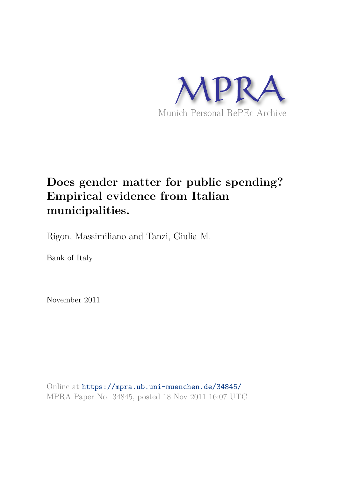

# **Does gender matter for public spending? Empirical evidence from Italian municipalities.**

Rigon, Massimiliano and Tanzi, Giulia M.

Bank of Italy

November 2011

Online at https://mpra.ub.uni-muenchen.de/34845/ MPRA Paper No. 34845, posted 18 Nov 2011 16:07 UTC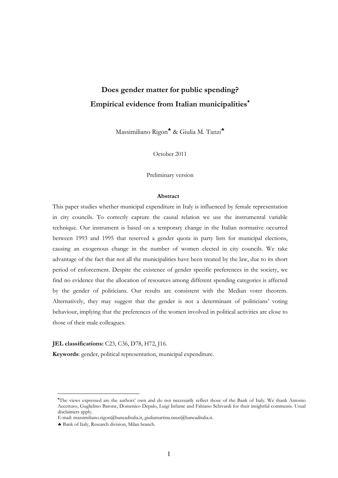## **Does gender matter for public spending? Empirical evidence from Italian municipalities**

Massimiliano Rigon\* & Giulia M. Tanzi\*

October 2011

Preliminary version

#### **Abstract**

This paper studies whether municipal expenditure in Italy is influenced by female representation in city councils. To correctly capture the causal relation we use the instrumental variable technique. Our instrument is based on a temporary change in the Italian normative occurred between 1993 and 1995 that reserved a gender quota in party lists for municipal elections, causing an exogenous change in the number of women elected in city councils. We take advantage of the fact that not all the municipalities have been treated by the law, due to its short period of enforcement. Despite the existence of gender specific preferences in the society, we find no evidence that the allocation of resources among different spending categories is affected by the gender of politicians. Our results are consistent with the Median voter theorem. Alternatively, they may suggest that the gender is not a determinant of politicians' voting behaviour, implying that the preferences of the women involved in political activities are close to those of their male colleagues.

#### **JEL classifications:** C23, C36, D78, H72, J16.

 **Keywords**: gender, political representation, municipal expenditure.

The views expressed are the authors' own and do not necessarily reflect those of the Bank of Italy. We thank Antonio Accetturo, Guglielmo Barone, Domenico Depalo, Luigi Infante and Fabiano Schivardi for their insightful comments. Usual disclaimers apply.

E-mail: massimiliano.rigon@bancaditalia.it, giuliamartina.tanzi@bancaditalia.it.

Bank of Italy, Research division, Milan branch.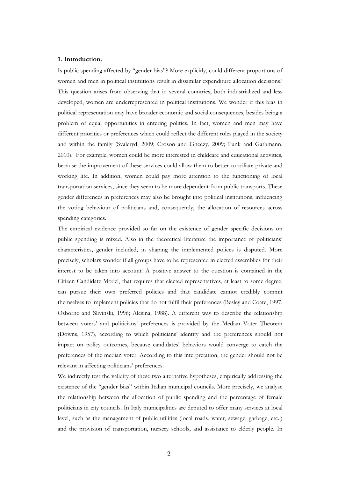#### **1. Introduction.**

Is public spending affected by "gender bias"? More explicitly, could different proportions of women and men in political institutions result in dissimilar expenditure allocation decisions? This question arises from observing that in several countries, both industrialized and less developed, women are underrepresented in political institutions. We wonder if this bias in political representation may have broader economic and social consequences, besides being a problem of equal opportunities in entering politics. In fact, women and men may have different priorities or preferences which could reflect the different roles played in the society and within the family (Svaleryd, 2009; Croson and Gneezy, 2009; Funk and Gathmann, 2010). For example, women could be more interested in childcare and educational activities, because the improvement of these services could allow them to better conciliate private and working life. In addition, women could pay more attention to the functioning of local transportation services, since they seem to be more dependent from public transports. These gender differences in preferences may also be brought into political institutions, influencing the voting behaviour of politicians and, consequently, the allocation of resources across spending categories.

The empirical evidence provided so far on the existence of gender specific decisions on public spending is mixed. Also in the theoretical literature the importance of politicians' characteristics, gender included, in shaping the implemented polices is disputed. More precisely, scholars wonder if all groups have to be represented in elected assemblies for their interest to be taken into account. A positive answer to the question is contained in the Citizen Candidate Model, that requires that elected representatives, at least to some degree, can pursue their own preferred policies and that candidate cannot credibly commit themselves to implement policies that do not fulfil their preferences (Besley and Coate, 1997; Osborne and Slivinski, 1996; Alesina, 1988). A different way to describe the relationship between voters' and politicians' preferences is provided by the Median Voter Theorem (Downs, 1957), according to which politicians' identity and the preferences should not impact on policy outcomes, because candidates' behaviors would converge to catch the preferences of the median voter. According to this interpretation, the gender should not be relevant in affecting politicians' preferences.

We indirectly test the validity of these two alternative hypotheses, empirically addressing the existence of the "gender bias" within Italian municipal councils. More precisely, we analyse the relationship between the allocation of public spending and the percentage of female politicians in city councils. In Italy municipalities are deputed to offer many services at local level, such as the management of public utilities (local roads, water, sewage, garbage, etc..) and the provision of transportation, nursery schools, and assistance to elderly people. In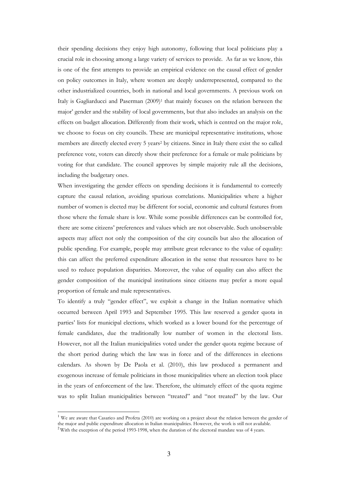their spending decisions they enjoy high autonomy, following that local politicians play a crucial role in choosing among a large variety of services to provide. As far as we know, this is one of the first attempts to provide an empirical evidence on the causal effect of gender on policy outcomes in Italy, where women are deeply underrepresented, compared to the other industrialized countries, both in national and local governments. A previous work on Italy is Gagliarducci and Paserman (2009)<sup>1</sup> that mainly focuses on the relation between the major' gender and the stability of local governments, but that also includes an analysis on the effects on budget allocation. Differently from their work, which is centred on the major role, we choose to focus on city councils. These are municipal representative institutions, whose members are directly elected every 5 years<sup>2</sup> by citizens. Since in Italy there exist the so called preference vote, voters can directly show their preference for a female or male politicians by voting for that candidate. The council approves by simple majority rule all the decisions, including the budgetary ones.

When investigating the gender effects on spending decisions it is fundamental to correctly capture the causal relation, avoiding spurious correlations. Municipalities where a higher number of women is elected may be different for social, economic and cultural features from those where the female share is low. While some possible differences can be controlled for, there are some citizens' preferences and values which are not observable. Such unobservable aspects may affect not only the composition of the city councils but also the allocation of public spending. For example, people may attribute great relevance to the value of equality: this can affect the preferred expenditure allocation in the sense that resources have to be used to reduce population disparities. Moreover, the value of equality can also affect the gender composition of the municipal institutions since citizens may prefer a more equal proportion of female and male representatives.

To identify a truly "gender effect", we exploit a change in the Italian normative which occurred between April 1993 and September 1995. This law reserved a gender quota in parties' lists for municipal elections, which worked as a lower bound for the percentage of female candidates, due the traditionally low number of women in the electoral lists. However, not all the Italian municipalities voted under the gender quota regime because of the short period during which the law was in force and of the differences in elections calendars. As shown by De Paola et al. (2010), this law produced a permanent and exogenous increase of female politicians in those municipalities where an election took place in the years of enforcement of the law. Therefore, the ultimately effect of the quota regime was to split Italian municipalities between "treated" and "not treated" by the law. Our

<sup>&</sup>lt;sup>1</sup> We are aware that Casarico and Profeta (2010) are working on a project about the relation between the gender of the major and public expenditure allocation in Italian municipalities. However, the work is still not available.

<sup>&</sup>lt;sup>2</sup> With the exception of the period 1993-1998, when the duration of the electoral mandate was of 4 years.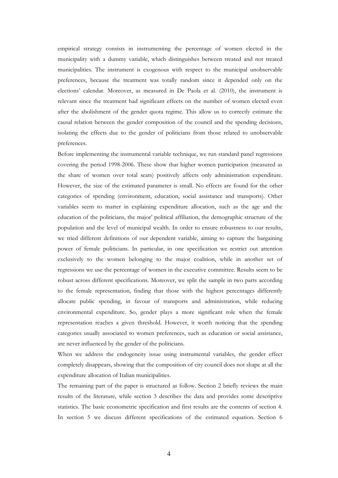empirical strategy consists in instrumenting the percentage of women elected in the municipality with a dummy variable, which distinguishes between treated and not treated municipalities. The instrument is exogenous with respect to the municipal unobservable preferences, because the treatment was totally random since it depended only on the elections' calendar. Moreover, as measured in De Paola et al. (2010), the instrument is relevant since the treatment had significant effects on the number of women elected even after the abolishment of the gender quota regime. This allow us to correctly estimate the causal relation between the gender composition of the council and the spending decisions, isolating the effects due to the gender of politicians from those related to unobservable preferences.

Before implementing the instrumental variable technique, we run standard panel regressions covering the period 1998-2006. These show that higher women participation (measured as the share of women over total seats) positively affects only administration expenditure. However, the size of the estimated parameter is small. No effects are found for the other categories of spending (environment, education, social assistance and transports). Other variables seem to matter in explaining expenditure allocation, such as the age and the education of the politicians, the major' political affiliation, the demographic structure of the population and the level of municipal wealth. In order to ensure robustness to our results, we tried different definitions of our dependent variable, aiming to capture the bargaining power of female politicians. In particular, in one specification we restrict out attention exclusively to the women belonging to the major coalition, while in another set of regressions we use the percentage of women in the executive committee. Results seem to be robust across different specifications. Moreover, we split the sample in two parts according to the female representation, finding that those with the highest percentages differently allocate public spending, in favour of transports and administration, while reducing environmental expenditure. So, gender plays a more significant role when the female representation reaches a given threshold. However, it worth noticing that the spending categories usually associated to women preferences, such as education or social assistance, are never influenced by the gender of the politicians.

When we address the endogeneity issue using instrumental variables, the gender effect completely disappears, showing that the composition of city council does not shape at all the expenditure allocation of Italian municipalities.

The remaining part of the paper is structured as follow. Section 2 briefly reviews the main results of the literature, while section 3 describes the data and provides some descriptive statistics. The basic econometric specification and first results are the contents of section 4. In section 5 we discuss different specifications of the estimated equation. Section 6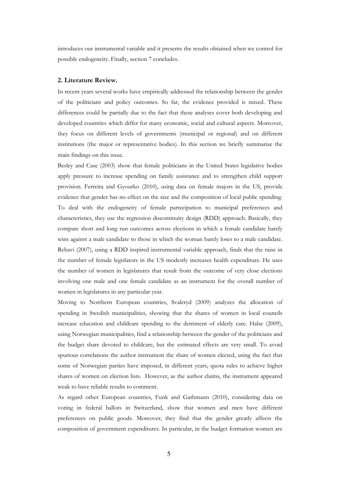introduces our instrumental variable and it presents the results obtained when we control for possible endogeneity. Finally, section 7 concludes.

#### **2. Literature Review.**

In recent years several works have empirically addressed the relationship between the gender of the politicians and policy outcomes. So far, the evidence provided is mixed. These differences could be partially due to the fact that these analyses cover both developing and developed countries which differ for many economic, social and cultural aspects. Moreover, they focus on different levels of governments (municipal or regional) and on different institutions (the major or representative bodies). In this section we briefly summarize the main findings on this issue.

Besley and Case (2003) show that female politicians in the United States legislative bodies apply pressure to increase spending on family assistance and to strengthen child support provision. Ferreira and Gyourko (2010), using data on female majors in the US, provide evidence that gender has no effect on the size and the composition of local public spending. To deal with the endogeneity of female partecipation to municipal preferences and characteristics, they use the regression discontinuity design (RDD) approach. Basically, they compare short and long run outcomes across elections in which a female candidate barely wins against a male candidate to those in which the woman barely loses to a male candidate. Rehavi (2007), using a RDD inspired instrumental variable approach, finds that the raise in the number of female legislators in the US modestly increases health expenditure. He uses the number of women in legislatures that result from the outcome of very close elections involving one male and one female candidate as an instrument for the overall number of women in legislatures in any particular year.

Moving to Northern European countries, Svaleryd (2009) analyzes the allocation of spending in Swedish municipalities, showing that the shares of women in local councils increase education and childcare spending to the detriment of elderly care. Halse (2009), using Norwegian municipalities, find a relationship between the gender of the politicians and the budget share devoted to childcare, but the estimated effects are very small. To avoid spurious correlations the author instrument the share of women elected, using the fact that some of Norwegian parties have imposed, in different years, quota rules to achieve higher shares of women on election lists. However, as the author claims, the instrument appeared weak to have reliable results to comment.

As regard other European countries, Funk and Gathmann (2010), considering data on voting in federal ballots in Switzerland, show that women and men have different preferences on public goods. Moreover, they find that the gender greatly affects the composition of government expenditures. In particular, in the budget formation women are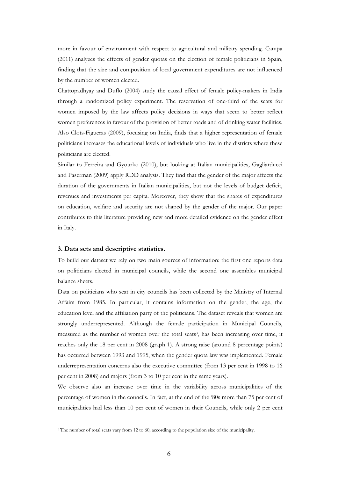more in favour of environment with respect to agricultural and military spending. Campa (2011) analyzes the effects of gender quotas on the election of female politicians in Spain, finding that the size and composition of local government expenditures are not influenced by the number of women elected.

Chattopadhyay and Duflo (2004) study the causal effect of female policy-makers in India through a randomized policy experiment. The reservation of one-third of the seats for women imposed by the law affects policy decisions in ways that seem to better reflect women preferences in favour of the provision of better roads and of drinking water facilities. Also Clots-Figueras (2009), focusing on India, finds that a higher representation of female politicians increases the educational levels of individuals who live in the districts where these politicians are elected.

Similar to Ferreira and Gyourko (2010), but looking at Italian municipalities, Gagliarducci and Paserman (2009) apply RDD analysis. They find that the gender of the major affects the duration of the governments in Italian municipalities, but not the levels of budget deficit, revenues and investments per capita. Moreover, they show that the shares of expenditures on education, welfare and security are not shaped by the gender of the major. Our paper contributes to this literature providing new and more detailed evidence on the gender effect in Italy.

#### **3. Data sets and descriptive statistics.**

To build our dataset we rely on two main sources of information: the first one reports data on politicians elected in municipal councils, while the second one assembles municipal balance sheets.

Data on politicians who seat in city councils has been collected by the Ministry of Internal Affairs from 1985. In particular, it contains information on the gender, the age, the education level and the affiliation party of the politicians. The dataset reveals that women are strongly underrepresented. Although the female participation in Municipal Councils, measured as the number of women over the total seats<sup>3</sup>, has been increasing over time, it reaches only the 18 per cent in 2008 (graph 1). A strong raise (around 8 percentage points) has occurred between 1993 and 1995, when the gender quota law was implemented. Female underrepresentation concerns also the executive committee (from 13 per cent in 1998 to 16 per cent in 2008) and majors (from 3 to 10 per cent in the same years).

We observe also an increase over time in the variability across municipalities of the percentage of women in the councils. In fact, at the end of the '80s more than 75 per cent of municipalities had less than 10 per cent of women in their Councils, while only 2 per cent

<sup>&</sup>lt;sup>3</sup> The number of total seats vary from 12 to 60, according to the population size of the municipality.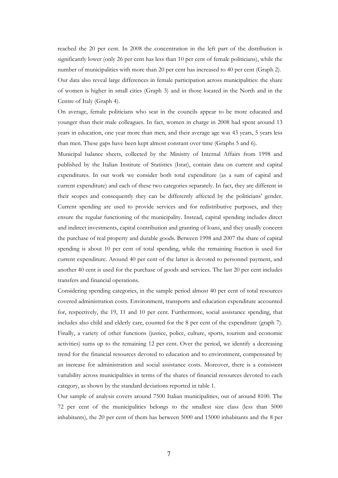reached the 20 per cent. In 2008 the concentration in the left part of the distribution is significantly lower (only 26 per cent has less than 10 per cent of female politicians), while the number of municipalities with more than 20 per cent has increased to 40 per cent (Graph 2). Our data also reveal large differences in female participation across municipalities: the share of women is higher in small cities (Graph 3) and in those located in the North and in the Centre of Italy (Graph 4).

On average, female politicians who seat in the councils appear to be more educated and younger than their male colleagues. In fact, women in charge in 2008 had spent around 13 years in education, one year more than men, and their average age was 43 years, 5 years less than men. These gaps have been kept almost constant over time (Graphs 5 and 6).

Municipal balance sheets, collected by the Ministry of Internal Affairs from 1998 and published by the Italian Institute of Statistics (Istat), contain data on current and capital expenditures. In our work we consider both total expenditure (as a sum of capital and current expenditure) and each of these two categories separately. In fact, they are different in their scopes and consequently they can be differently affected by the politicians' gender. Current spending are used to provide services and for redistributive purposes, and they ensure the regular functioning of the municipality. Instead, capital spending includes direct and indirect investments, capital contribution and granting of loans, and they usually concern the purchase of real property and durable goods. Between 1998 and 2007 the share of capital spending is about 10 per cent of total spending, while the remaining fraction is used for current expenditure. Around 40 per cent of the latter is devoted to personnel payment, and another 40 cent is used for the purchase of goods and services. The last 20 per cent includes transfers and financial operations.

Considering spending categories, in the sample period almost 40 per cent of total resources covered administration costs. Environment, transports and education expenditure accounted for, respectively, the 19, 11 and 10 per cent. Furthermore, social assistance spending, that includes also child and elderly care, counted for the 8 per cent of the expenditure (graph 7). Finally, a variety of other functions (justice, police, culture, sports, tourism and economic activities) sums up to the remaining 12 per cent. Over the period, we identify a decreasing trend for the financial resources devoted to education and to environment, compensated by an increase for administration and social assistance costs. Moreover, there is a consistent variability across municipalities in terms of the shares of financial resources devoted to each category, as shown by the standard deviations reported in table 1.

Our sample of analysis covers around 7500 Italian municipalities, out of around 8100. The 72 per cent of the municipalities belongs to the smallest size class (less than 5000 inhabitants), the 20 per cent of them has between 5000 and 15000 inhabitants and the 8 per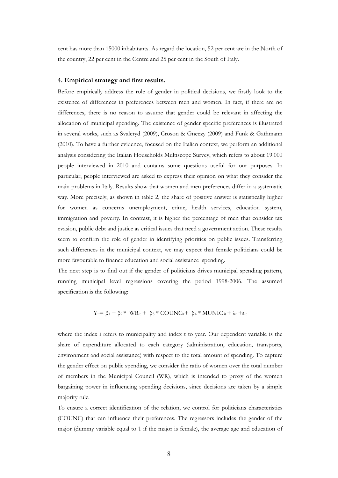cent has more than 15000 inhabitants. As regard the location, 52 per cent are in the North of the country, 22 per cent in the Centre and 25 per cent in the South of Italy.

#### **4. Empirical strategy and first results.**

Before empirically address the role of gender in political decisions, we firstly look to the existence of differences in preferences between men and women. In fact, if there are no differences, there is no reason to assume that gender could be relevant in affecting the allocation of municipal spending. The existence of gender specific preferences is illustrated in several works, such as Svaleryd (2009), Croson & Gneezy (2009) and Funk & Gathmann (2010). To have a further evidence, focused on the Italian context, we perform an additional analysis considering the Italian Households Multiscope Survey, which refers to about 19.000 people interviewed in 2010 and contains some questions useful for our purposes. In particular, people interviewed are asked to express their opinion on what they consider the main problems in Italy. Results show that women and men preferences differ in a systematic way. More precisely, as shown in table 2, the share of positive answer is statistically higher for women as concerns unemployment, crime, health services, education system, immigration and poverty. In contrast, it is higher the percentage of men that consider tax evasion, public debt and justice as critical issues that need a government action. These results seem to confirm the role of gender in identifying priorities on public issues. Transferring such differences in the municipal context, we may expect that female politicians could be more favourable to finance education and social assistance spending.

The next step is to find out if the gender of politicians drives municipal spending pattern, running municipal level regressions covering the period 1998-2006. The assumed specification is the following:

$$
Y_{it} = \beta_1 + \beta_2^* \quad WR_{it} + \beta_3^* \cdot COUNC_{it} + \beta_4^* \cdot MUNIC_{it} + \lambda_t + \epsilon_{it}
$$

where the index i refers to municipality and index t to year. Our dependent variable is the share of expenditure allocated to each category (administration, education, transports, environment and social assistance) with respect to the total amount of spending. To capture the gender effect on public spending, we consider the ratio of women over the total number of members in the Municipal Council (WR), which is intended to proxy of the women bargaining power in influencing spending decisions, since decisions are taken by a simple majority rule.

To ensure a correct identification of the relation, we control for politicians characteristics (COUNC) that can influence their preferences. The regressors includes the gender of the major (dummy variable equal to 1 if the major is female), the average age and education of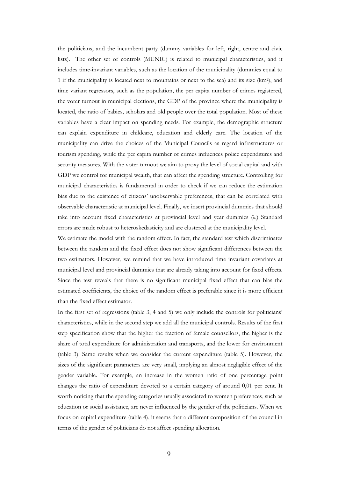the politicians, and the incumbent party (dummy variables for left, right, centre and civic lists). The other set of controls (MUNIC) is related to municipal characteristics, and it includes time-invariant variables, such as the location of the municipality (dummies equal to 1 if the municipality is located next to mountains or next to the sea) and its size (km<sup>2</sup> ), and time variant regressors, such as the population, the per capita number of crimes registered, the voter turnout in municipal elections, the GDP of the province where the municipality is located, the ratio of babies, scholars and old people over the total population. Most of these variables have a clear impact on spending needs. For example, the demographic structure can explain expenditure in childcare, education and elderly care. The location of the municipality can drive the choices of the Municipal Councils as regard infrastructures or tourism spending, while the per capita number of crimes influences police expenditures and security measures. With the voter turnout we aim to proxy the level of social capital and with GDP we control for municipal wealth, that can affect the spending structure. Controlling for municipal characteristics is fundamental in order to check if we can reduce the estimation bias due to the existence of citizens' unobservable preferences, that can be correlated with observable characteristic at municipal level. Finally, we insert provincial dummies that should take into account fixed characteristics at provincial level and year dummies  $(\lambda_t)$  Standard errors are made robust to heteroskedasticity and are clustered at the municipality level.

We estimate the model with the random effect. In fact, the standard test which discriminates between the random and the fixed effect does not show significant differences between the two estimators. However, we remind that we have introduced time invariant covariates at municipal level and provincial dummies that are already taking into account for fixed effects. Since the test reveals that there is no significant municipal fixed effect that can bias the estimated coefficients, the choice of the random effect is preferable since it is more efficient than the fixed effect estimator.

In the first set of regressions (table 3, 4 and 5) we only include the controls for politicians' characteristics, while in the second step we add all the municipal controls. Results of the first step specification show that the higher the fraction of female counsellors, the higher is the share of total expenditure for administration and transports, and the lower for environment (table 3). Same results when we consider the current expenditure (table 5). However, the sizes of the significant parameters are very small, implying an almost negligible effect of the gender variable. For example, an increase in the women ratio of one percentage point changes the ratio of expenditure devoted to a certain category of around 0,01 per cent. It worth noticing that the spending categories usually associated to women preferences, such as education or social assistance, are never influenced by the gender of the politicians. When we focus on capital expenditure (table 4), it seems that a different composition of the council in terms of the gender of politicians do not affect spending allocation.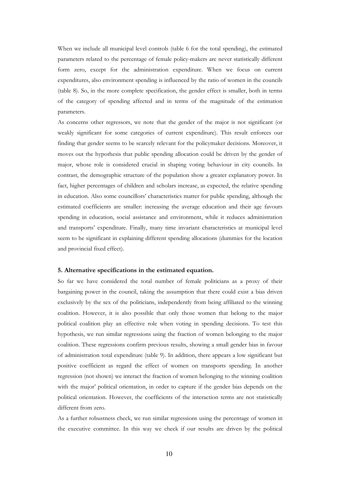When we include all municipal level controls (table 6 for the total spending), the estimated parameters related to the percentage of female policy-makers are never statistically different form zero, except for the administration expenditure. When we focus on current expenditures, also environment spending is influenced by the ratio of women in the councils (table 8). So, in the more complete specification, the gender effect is smaller, both in terms of the category of spending affected and in terms of the magnitude of the estimation parameters.

As concerns other regressors, we note that the gender of the major is not significant (or weakly significant for some categories of current expenditure). This result enforces our finding that gender seems to be scarcely relevant for the policymaker decisions. Moreover, it moves out the hypothesis that public spending allocation could be driven by the gender of major, whose role is considered crucial in shaping voting behaviour in city councils. In contrast, the demographic structure of the population show a greater explanatory power. In fact, higher percentages of children and scholars increase, as expected, the relative spending in education. Also some councillors' characteristics matter for public spending, although the estimated coefficients are smaller: increasing the average education and their age favours spending in education, social assistance and environment, while it reduces administration and transports' expenditure. Finally, many time invariant characteristics at municipal level seem to be significant in explaining different spending allocations (dummies for the location and provincial fixed effect).

#### **5. Alternative specifications in the estimated equation.**

So far we have considered the total number of female politicians as a proxy of their bargaining power in the council, taking the assumption that there could exist a bias driven exclusively by the sex of the politicians, independently from being affiliated to the winning coalition. However, it is also possible that only those women that belong to the major political coalition play an effective role when voting in spending decisions. To test this hypothesis, we run similar regressions using the fraction of women belonging to the major coalition. These regressions confirm previous results, showing a small gender bias in favour of administration total expenditure (table 9). In addition, there appears a low significant but positive coefficient as regard the effect of women on transports spending. In another regression (not shown) we interact the fraction of women belonging to the winning coalition with the major' political orientation, in order to capture if the gender bias depends on the political orientation. However, the coefficients of the interaction terms are not statistically different from zero.

As a further robustness check, we run similar regressions using the percentage of women in the executive committee. In this way we check if our results are driven by the political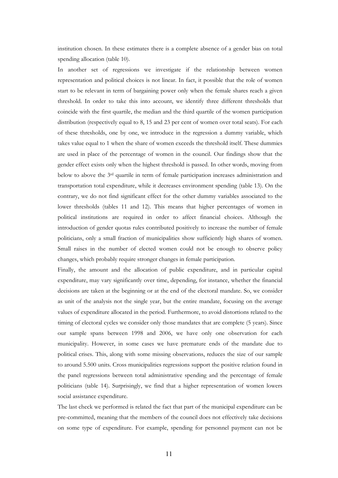institution chosen. In these estimates there is a complete absence of a gender bias on total spending allocation (table 10).

In another set of regressions we investigate if the relationship between women representation and political choices is not linear. In fact, it possible that the role of women start to be relevant in term of bargaining power only when the female shares reach a given threshold. In order to take this into account, we identify three different thresholds that coincide with the first quartile, the median and the third quartile of the women participation distribution (respectively equal to 8, 15 and 23 per cent of women over total seats). For each of these thresholds, one by one, we introduce in the regression a dummy variable, which takes value equal to 1 when the share of women exceeds the threshold itself. These dummies are used in place of the percentage of women in the council. Our findings show that the gender effect exists only when the highest threshold is passed. In other words, moving from below to above the 3rd quartile in term of female participation increases administration and transportation total expenditure, while it decreases environment spending (table 13). On the contrary, we do not find significant effect for the other dummy variables associated to the lower thresholds (tables 11 and 12). This means that higher percentages of women in political institutions are required in order to affect financial choices. Although the introduction of gender quotas rules contributed positively to increase the number of female politicians, only a small fraction of municipalities show sufficiently high shares of women. Small raises in the number of elected women could not be enough to observe policy changes, which probably require stronger changes in female participation.

Finally, the amount and the allocation of public expenditure, and in particular capital expenditure, may vary significantly over time, depending, for instance, whether the financial decisions are taken at the beginning or at the end of the electoral mandate. So, we consider as unit of the analysis not the single year, but the entire mandate, focusing on the average values of expenditure allocated in the period. Furthermore, to avoid distortions related to the timing of electoral cycles we consider only those mandates that are complete (5 years). Since our sample spans between 1998 and 2006, we have only one observation for each municipality. However, in some cases we have premature ends of the mandate due to political crises. This, along with some missing observations, reduces the size of our sample to around 5.500 units. Cross municipalities regressions support the positive relation found in the panel regressions between total administrative spending and the percentage of female politicians (table 14). Surprisingly, we find that a higher representation of women lowers social assistance expenditure.

The last check we performed is related the fact that part of the municipal expenditure can be pre-committed, meaning that the members of the council does not effectively take decisions on some type of expenditure. For example, spending for personnel payment can not be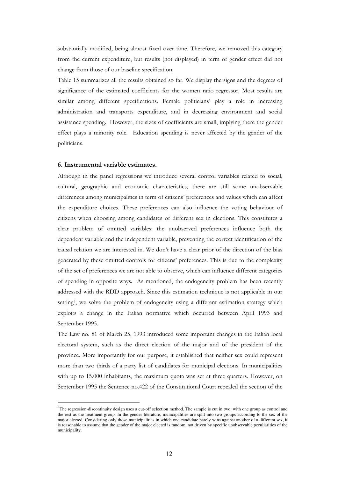substantially modified, being almost fixed over time. Therefore, we removed this category from the current expenditure, but results (not displayed) in term of gender effect did not change from those of our baseline specification.

Table 15 summarizes all the results obtained so far. We display the signs and the degrees of significance of the estimated coefficients for the women ratio regressor. Most results are similar among different specifications. Female politicians' play a role in increasing administration and transports expenditure, and in decreasing environment and social assistance spending. However, the sizes of coefficients are small, implying there the gender effect plays a minority role. Education spending is never affected by the gender of the politicians.

#### **6. Instrumental variable estimates.**

Although in the panel regressions we introduce several control variables related to social, cultural, geographic and economic characteristics, there are still some unobservable differences among municipalities in term of citizens' preferences and values which can affect the expenditure choices. These preferences can also influence the voting behaviour of citizens when choosing among candidates of different sex in elections. This constitutes a clear problem of omitted variables: the unobserved preferences influence both the dependent variable and the independent variable, preventing the correct identification of the causal relation we are interested in. We don't have a clear prior of the direction of the bias generated by these omitted controls for citizens' preferences. This is due to the complexity of the set of preferences we are not able to observe, which can influence different categories of spending in opposite ways. As mentioned, the endogeneity problem has been recently addressed with the RDD approach. Since this estimation technique is not applicable in our setting<sup>4</sup>, we solve the problem of endogeneity using a different estimation strategy which exploits a change in the Italian normative which occurred between April 1993 and September 1995.

The Law no. 81 of March 25, 1993 introduced some important changes in the Italian local electoral system, such as the direct election of the major and of the president of the province. More importantly for our purpose, it established that neither sex could represent more than two thirds of a party list of candidates for municipal elections. In municipalities with up to 15.000 inhabitants, the maximum quota was set at three quarters. However, on September 1995 the Sentence no.422 of the Constitutional Court repealed the section of the

<sup>&</sup>lt;sup>4</sup>The regression-discontinuity design uses a cut-off selection method. The sample is cut in two, with one group as control and the rest as the treatment group. In the gender literature, municipalities are split into two groups according to the sex of the major elected. Considering only those municipalities in which one candidate barely wins against another of a different sex, it is reasonable to assume that the gender of the major elected is random, not driven by specific unobservable peculiarities of the municipality.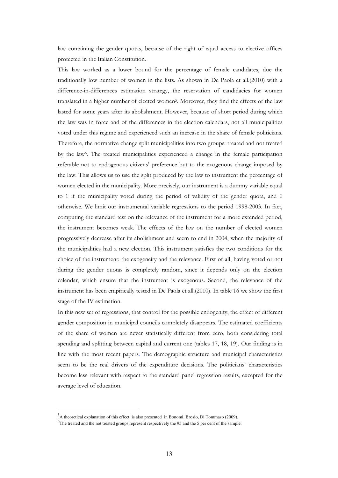law containing the gender quotas, because of the right of equal access to elective offices protected in the Italian Constitution.

This law worked as a lower bound for the percentage of female candidates, due the traditionally low number of women in the lists. As shown in De Paola et all.(2010) with a difference-in-differences estimation strategy, the reservation of candidacies for women translated in a higher number of elected women<sup>5</sup>. Moreover, they find the effects of the law lasted for some years after its abolishment. However, because of short period during which the law was in force and of the differences in the election calendars, not all municipalities voted under this regime and experienced such an increase in the share of female politicians. Therefore, the normative change split municipalities into two groups: treated and not treated by the law<sup>6</sup>. The treated municipalities experienced a change in the female participation referable not to endogenous citizens' preference but to the exogenous change imposed by the law. This allows us to use the split produced by the law to instrument the percentage of women elected in the municipality. More precisely, our instrument is a dummy variable equal to 1 if the municipality voted during the period of validity of the gender quota, and 0 otherwise. We limit our instrumental variable regressions to the period 1998-2003. In fact, computing the standard test on the relevance of the instrument for a more extended period, the instrument becomes weak. The effects of the law on the number of elected women progressively decrease after its abolishment and seem to end in 2004, when the majority of the municipalities had a new election. This instrument satisfies the two conditions for the choice of the instrument: the exogeneity and the relevance. First of all, having voted or not during the gender quotas is completely random, since it depends only on the election calendar, which ensure that the instrument is exogenous. Second, the relevance of the instrument has been empirically tested in De Paola et all.(2010). In table 16 we show the first stage of the IV estimation.

In this new set of regressions, that control for the possible endogenity, the effect of different gender composition in municipal councils completely disappears. The estimated coefficients of the share of women are never statistically different from zero, both considering total spending and splitting between capital and current one (tables 17, 18, 19). Our finding is in line with the most recent papers. The demographic structure and municipal characteristics seem to be the real drivers of the expenditure decisions. The politicians' characteristics become less relevant with respect to the standard panel regression results, excepted for the average level of education.

<sup>5</sup> A theoretical explanation of this effect is also presented in Bonomi, Brosio, Di Tommaso (2009).

<sup>&</sup>lt;sup>6</sup>The treated and the not treated groups represent respectively the 95 and the 5 per cent of the sample.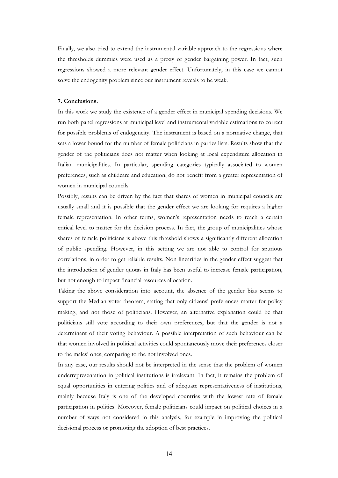Finally, we also tried to extend the instrumental variable approach to the regressions where the thresholds dummies were used as a proxy of gender bargaining power. In fact, such regressions showed a more relevant gender effect. Unfortunately, in this case we cannot solve the endogenity problem since our instrument reveals to be weak.

#### **7. Conclusions.**

In this work we study the existence of a gender effect in municipal spending decisions. We run both panel regressions at municipal level and instrumental variable estimations to correct for possible problems of endogeneity. The instrument is based on a normative change, that sets a lower bound for the number of female politicians in parties lists. Results show that the gender of the politicians does not matter when looking at local expenditure allocation in Italian municipalities. In particular, spending categories typically associated to women preferences, such as childcare and education, do not benefit from a greater representation of women in municipal councils.

Possibly, results can be driven by the fact that shares of women in municipal councils are usually small and it is possible that the gender effect we are looking for requires a higher female representation. In other terms, women's representation needs to reach a certain critical level to matter for the decision process. In fact, the group of municipalities whose shares of female politicians is above this threshold shows a significantly different allocation of public spending. However, in this setting we are not able to control for spurious correlations, in order to get reliable results. Non linearities in the gender effect suggest that the introduction of gender quotas in Italy has been useful to increase female participation, but not enough to impact financial resources allocation.

Taking the above consideration into account, the absence of the gender bias seems to support the Median voter theorem, stating that only citizens' preferences matter for policy making, and not those of politicians. However, an alternative explanation could be that politicians still vote according to their own preferences, but that the gender is not a determinant of their voting behaviour. A possible interpretation of such behaviour can be that women involved in political activities could spontaneously move their preferences closer to the males' ones, comparing to the not involved ones.

In any case, our results should not be interpreted in the sense that the problem of women underrepresentation in political institutions is irrelevant. In fact, it remains the problem of equal opportunities in entering politics and of adequate representativeness of institutions, mainly because Italy is one of the developed countries with the lowest rate of female participation in politics. Moreover, female politicians could impact on political choices in a number of ways not considered in this analysis, for example in improving the political decisional process or promoting the adoption of best practices.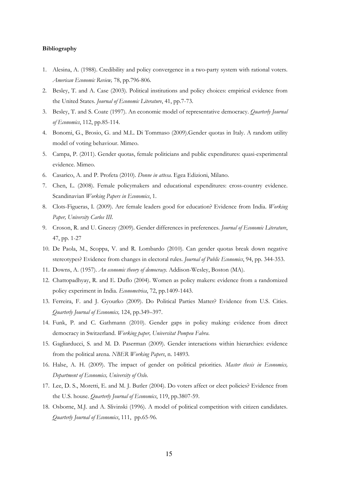#### **Bibliography**

- 1. Alesina, A. (1988). Credibility and policy convergence in a two-party system with rational voters. *American Economic Review,* 78, pp.796-806.
- 2. Besley, T. and A. Case (2003). Political institutions and policy choices: empirical evidence from the United States. *Journal of Economic Literature*, 41, pp.7-73.
- 3. Besley, T. and S. Coate (1997). An economic model of representative democracy. *Quarterly Journal of Economics*, 112, pp.85-114.
- 4. Bonomi, G., Brosio, G. and M.L. Di Tommaso (2009).Gender quotas in Italy. A random utility model of voting behaviour. Mimeo.
- 5. Campa, P. (2011). Gender quotas, female politicians and public expenditures: quasi-experimental evidence. Mimeo.
- 6. Casarico, A. and P. Profeta (2010). *Donne in attesa*. Egea Edizioni, Milano.
- 7. Chen, L. (2008). Female policymakers and educational expenditures: cross-country evidence. Scandinavian *Working Papers in Economics*, 1.
- 8. Clots-Figueras, I. (2009). Are female leaders good for education? Evidence from India. *Working Paper, University Carlos III*.
- 9. Croson, R. and U. Gneezy (2009). Gender differences in preferences. *Journal of Economic Literature*, 47, pp. 1-27
- 10. De Paola, M., Scoppa, V. and R. Lombardo (2010). Can gender quotas break down negative stereotypes? Evidence from changes in electoral rules. *Journal of Public Economics*, 94, pp. 344-353.
- 11. Downs, A. (1957). *An economic theory of democracy*. Addison-Wesley, Boston (MA).
- 12. Chattopadhyay, R. and E. Duflo (2004). Women as policy makers: evidence from a randomized policy experiment in India. *Econometrica*, 72, pp.1409-1443.
- 13. Ferreira, F. and J. Gyourko (2009). Do Political Parties Matter? Evidence from U.S. Cities. *Quarterly Journal of Economics,* 124, pp.349–397.
- 14. Funk, P. and C. Gathmann (2010). Gender gaps in policy making: evidence from direct democracy in Switzerland. *Working paper, Universitat Pompeu Fabra*.
- 15. Gagliarducci, S. and M. D. Paserman (2009). Gender interactions within hierarchies: evidence from the political arena. *NBER Working Papers*, n. 14893.
- 16. Halse, A. H. (2009). The impact of gender on political priorities. *Master thesis in Economics, Department of Economics, University of Oslo*.
- 17. Lee, D. S., Moretti, E. and M. J. Butler (2004). Do voters affect or elect policies? Evidence from the U.S. house. *Quarterly Journal of Economics*, 119, pp.3807-59.
- 18. Osborne, M.J. and A. Slivinski (1996). A model of political competition with citizen candidates. *Quarterly Journal of Economics*, 111, pp.65-96.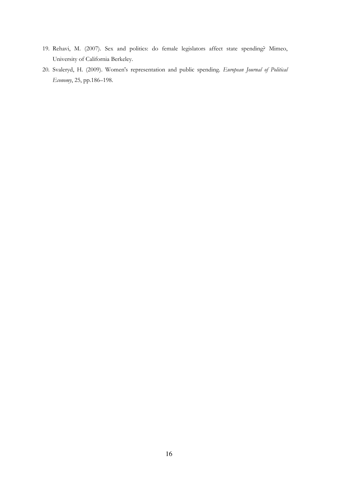- 19. Rehavi, M. (2007). Sex and politics: do female legislators affect state spending? Mimeo, University of California Berkeley.
- 20. Svaleryd, H. (2009). Women's representation and public spending. *European Journal of Political Economy*, 25, pp.186–198.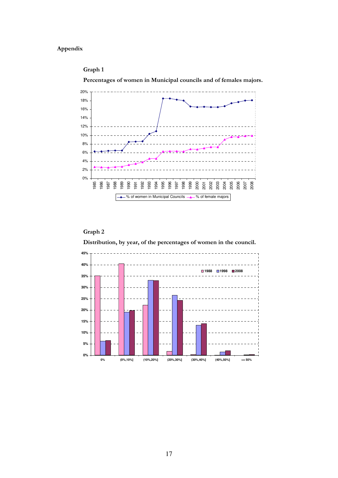## **Appendix**

#### **Graph 1**

**Percentages of women in Municipal councils and of females majors.**



### **Graph 2**

**Distribution, by year, of the percentages of women in the council.**

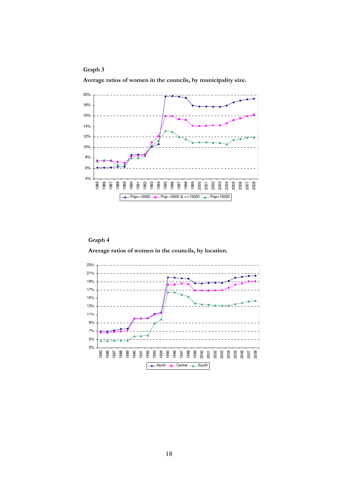

**Average ratios of women in the councils, by municipality size.** 



## **Graph 4**

**Average ratios of women in the councils, by location.**

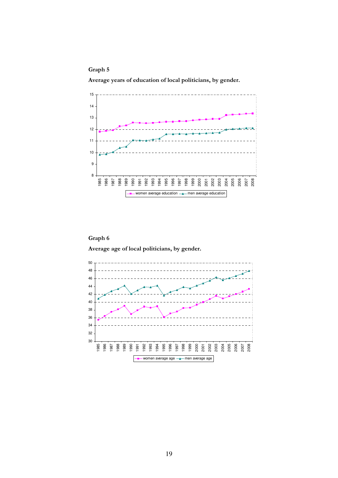**Graph 5** 

**Average years of education of local politicians, by gender.** 





**Average age of local politicians, by gender.** 

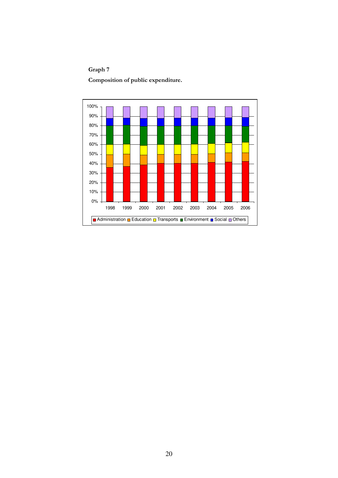## **Graph 7**

**Composition of public expenditure.** 

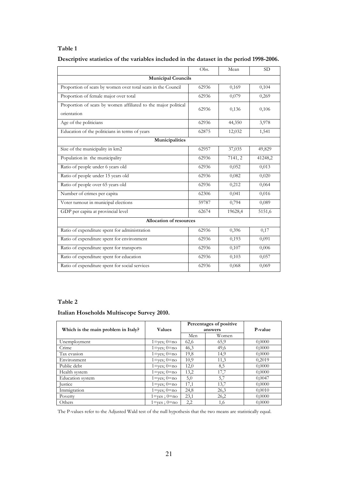|                                                                               | Obs.  | Mean    | <b>SD</b> |  |  |  |  |  |
|-------------------------------------------------------------------------------|-------|---------|-----------|--|--|--|--|--|
| <b>Municipal Councils</b>                                                     |       |         |           |  |  |  |  |  |
| Proportion of seats by women over total seats in the Council                  | 62936 | 0,169   | 0,104     |  |  |  |  |  |
| Proportion of female major over total                                         | 62936 | 0,079   | 0,269     |  |  |  |  |  |
| Proportion of seats by women affiliated to the major political<br>orientation | 62936 | 0,136   | 0,106     |  |  |  |  |  |
| Age of the politicians                                                        | 62936 | 44,350  | 3,978     |  |  |  |  |  |
| Education of the politicians in terms of years                                | 62875 | 12,032  | 1,541     |  |  |  |  |  |
| Municipalities                                                                |       |         |           |  |  |  |  |  |
| Size of the municipality in km2                                               | 62957 | 37,035  | 49,829    |  |  |  |  |  |
| Population in the municipality                                                | 62936 | 7141, 2 | 41248,2   |  |  |  |  |  |
| Ratio of people under 6 years old                                             | 62936 | 0,052   | 0,013     |  |  |  |  |  |
| Ratio of people under 15 years old                                            | 62936 | 0,082   | 0,020     |  |  |  |  |  |
| Ratio of people over 65 years old                                             | 62936 | 0,212   | 0,064     |  |  |  |  |  |
| Number of crimes per capita                                                   | 62306 | 0,041   | 0,016     |  |  |  |  |  |
| Voter turnout in municipal elections                                          | 59787 | 0,794   | 0,089     |  |  |  |  |  |
| GDP per capita at provincial level                                            | 62674 | 19628,4 | 5151,6    |  |  |  |  |  |
| <b>Allocation of resources</b>                                                |       |         |           |  |  |  |  |  |
| Ratio of expenditure spent for administration                                 | 62936 | 0,396   | 0,17      |  |  |  |  |  |
| Ratio of expenditure spent for environment                                    | 62936 | 0,193   | 0,091     |  |  |  |  |  |
| Ratio of expenditure spent for transports                                     | 62936 | 0,107   | 0,006     |  |  |  |  |  |
| Ratio of expenditure spent for education                                      | 62936 | 0,103   | 0,057     |  |  |  |  |  |
| Ratio of expenditure spent for social services                                | 62936 | 0,068   | 0,069     |  |  |  |  |  |

## **Descriptive statistics of the variables included in the dataset in the period 1998-2006.**

#### **Table 2**

#### **Italian Hoseholds Multiscope Survey 2010.**

|                                     |                                    |      | Percentages of positive |         |
|-------------------------------------|------------------------------------|------|-------------------------|---------|
| Which is the main problem in Italy? | <b>Values</b>                      |      | answers                 | P-value |
|                                     |                                    | Men  | Women                   |         |
| Unemployment                        | $1 = yes$ ; $0 = no$               | 62,6 | 65,9                    | 0,0000  |
| Crime                               | $1 = \text{ves}$ ; $0 = \text{no}$ | 46,3 | 49,6                    | 0,0000  |
| Tax evasion                         | $1 = yes$ ; $0 = no$               | 19,8 | 14,9                    | 0,0000  |
| Environment                         | $1 = \text{ves}$ ; $0 = \text{no}$ | 10,9 | 11,3                    | 0,2019  |
| Public debt                         | $1 = ves$ ; $0 = no$               | 12,0 | 8,5                     | 0,0000  |
| Health system                       | $1 = ves$ ; $0 = no$               | 13,2 | 17,7                    | 0,0000  |
| Education system                    | $1 = \text{ves}$ ; $0 = \text{no}$ | 5,0  | 5,7                     | 0,0047  |
| <b>Justice</b>                      | $1 = \text{ves}$ ; $0 = \text{no}$ | 17,1 | 13,7                    | 0,0000  |
| Immigration                         | $1 = ves$ ; $0 = no$               | 24,8 | 26,3                    | 0,0010  |
| Poverty                             | $1 = yes$ ; $0 = no$               | 23,1 | 26,2                    | 0,0000  |
| Others                              | $1 = yes$ ; $0 = no$               | 2,2  | 1,6                     | 0,0000  |

The P-values refer to the Adjusted Wald test of the null hypothesis that the two means are statistically equal.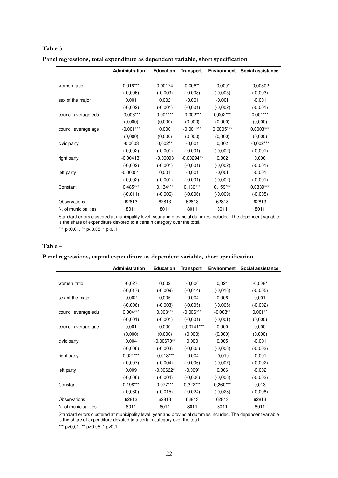|                      | Administration | <b>Education</b> | Transport    | <b>Environment</b> | Social assistance |
|----------------------|----------------|------------------|--------------|--------------------|-------------------|
|                      |                |                  |              |                    |                   |
| women ratio          | $0,016***$     | 0.00174          | $0,006**$    | $-0,009*$          | $-0,00302$        |
|                      | $(-0,006)$     | $(-0,003)$       | $(-0,003)$   | $(-0,005)$         | $(-0,003)$        |
| sex of the major     | 0,001          | 0,002            | $-0,001$     | $-0,001$           | $-0,001$          |
|                      | $(-0,002)$     | $(-0,001)$       | $(-0,001)$   | $(-0,002)$         | $(-0,001)$        |
| council average edu  | $-0,006***$    | $0,001***$       | $-0,002***$  | $0,002***$         | $0,001***$        |
|                      | (0,000)        | (0,000)          | (0,000)      | (0,000)            | (0,000)           |
| council average age  | $-0,001***$    | 0,000            | $-0,001***$  | 0,0005***          | 0,0003***         |
|                      | (0,000)        | (0,000)          | (0,000)      | (0,000)            | (0,000)           |
| civic party          | $-0.0003$      | $0,002**$        | $-0,001$     | 0,002              | $-0,002***$       |
|                      | $(-0,002)$     | $(-0,001)$       | $(-0,001)$   | $(-0,002)$         | $(-0,001)$        |
| right party          | $-0,00413*$    | $-0,00093$       | $-0,00294**$ | 0,002              | 0,000             |
|                      | $(-0,002)$     | $(-0,001)$       | $(-0,001)$   | $(-0,002)$         | $(-0,001)$        |
| left party           | $-0,00351*$    | 0,001            | $-0,001$     | $-0,001$           | $-0,001$          |
|                      | $(-0,002)$     | $(-0,001)$       | $(-0,001)$   | $(-0,002)$         | $(-0,001)$        |
| Constant             | $0,485***$     | $0,134***$       | $0.130***$   | $0,159***$         | 0,0339***         |
|                      | $(-0, 011)$    | $(-0,006)$       | $(-0,006)$   | $(-0,009)$         | $(-0,005)$        |
| Observations         | 62813          | 62813            | 62813        | 62813              | 62813             |
| N. of municipalities | 8011           | 8011             | 8011         | 8011               | 8011              |

|  |  |  |  | Panel regressions, total expenditure as dependent variable, short specification |
|--|--|--|--|---------------------------------------------------------------------------------|
|--|--|--|--|---------------------------------------------------------------------------------|

Standard errors clustered at municipality level, year and provincial dummies included. The dependent variable is the share of expenditure devoted to a certain category over the total.

\*\*\* p<0,01, \*\* p<0,05, \* p<0,1

#### **Table 4**

#### **Panel regressions, capital expenditure as dependent variable, short specification**

|                      | Administration | <b>Education</b> | <b>Transport</b> | <b>Environment</b> | Social assistance |
|----------------------|----------------|------------------|------------------|--------------------|-------------------|
|                      |                |                  |                  |                    |                   |
| women ratio          | $-0,027$       | 0,002            | $-0,006$         | 0,021              | $-0,008*$         |
|                      | $(-0,017)$     | $(-0,009)$       | $(-0,014)$       | $(-0,016)$         | $(-0,005)$        |
| sex of the major     | 0,002          | 0,005            | $-0.004$         | 0,006              | 0,001             |
|                      | $(-0,006)$     | $(-0,003)$       | $(-0,005)$       | $(-0,005)$         | $(-0,002)$        |
| council average edu  | $0,004***$     | $0,003***$       | $-0,006***$      | $-0,003**$         | $0,001***$        |
|                      | $(-0,001)$     | $(-0,001)$       | $(-0,001)$       | $(-0,001)$         | (0,000)           |
| council average age  | 0,001          | 0,000            | $-0,00141***$    | 0,000              | 0,000             |
|                      | (0,000)        | (0,000)          | (0,000)          | (0,000)            | (0,000)           |
| civic party          | 0,004          | $-0,00670**$     | 0,000            | 0,005              | $-0,001$          |
|                      | $(-0,006)$     | $(-0,003)$       | $(-0,005)$       | $(-0,006)$         | $(-0,002)$        |
| right party          | $0,021***$     | $-0.013***$      | $-0.004$         | $-0,010$           | $-0,001$          |
|                      | $(-0,007)$     | $(-0,004)$       | $(-0,006)$       | $(-0,007)$         | $(-0,002)$        |
| left party           | 0,009          | $-0,00622*$      | $-0.009*$        | 0,006              | $-0,002$          |
|                      | $(-0,006)$     | $(-0,004)$       | $(-0,006)$       | $(-0,006)$         | $(-0,002)$        |
| Constant             | $0,198***$     | $0.077***$       | $0,322***$       | $0,260***$         | 0,013             |
|                      | $(-0,030)$     | $(-0,015)$       | $(-0,024)$       | $(-0,028)$         | $(-0,008)$        |
| Observations         | 62813          | 62813            | 62813            | 62813              | 62813             |
| N. of municipalities | 8011           | 8011             | 8011             | 8011               | 8011              |

Standard errors clustered at municipality level, year and provincial dummies included. The dependent variable is the share of expenditure devoted to a certain category over the total.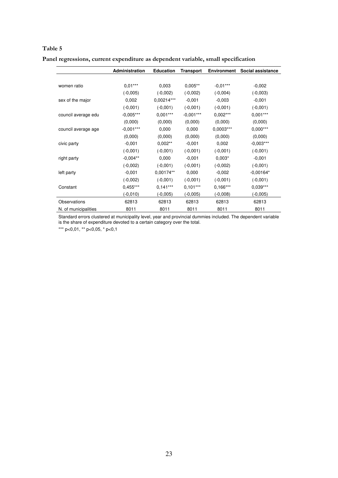|                      | <b>Administration</b> | <b>Education</b> | Transport   | <b>Environment</b> | Social assistance |
|----------------------|-----------------------|------------------|-------------|--------------------|-------------------|
|                      |                       |                  |             |                    |                   |
| women ratio          | $0,01***$             | 0,003            | $0,005**$   | $-0.01***$         | $-0,002$          |
|                      | $(-0,005)$            | $(-0,002)$       | $(-0,002)$  | $(-0,004)$         | $(-0,003)$        |
| sex of the major     | 0,002                 | 0,00214***       | $-0,001$    | $-0,003$           | $-0,001$          |
|                      | $(-0,001)$            | $(-0,001)$       | $(-0,001)$  | $(-0,001)$         | $(-0,001)$        |
| council average edu  | $-0,005***$           | $0,001***$       | $-0,001***$ | $0,002***$         | $0,001***$        |
|                      | (0,000)               | (0,000)          | (0,000)     | (0,000)            | (0,000)           |
| council average age  | $-0,001***$           | 0,000            | 0,000       | $0,0003***$        | $0,000***$        |
|                      | (0,000)               | (0,000)          | (0,000)     | (0,000)            | (0,000)           |
| civic party          | $-0,001$              | $0.002**$        | $-0,001$    | 0,002              | $-0,003***$       |
|                      | $(-0,001)$            | $(-0,001)$       | $(-0,001)$  | $(-0,001)$         | $(-0,001)$        |
| right party          | $-0,004**$            | 0,000            | $-0,001$    | $0,003*$           | $-0,001$          |
|                      | $(-0,002)$            | $(-0,001)$       | $(-0,001)$  | $(-0,002)$         | $(-0,001)$        |
| left party           | $-0,001$              | 0,00174**        | 0,000       | $-0,002$           | $-0,00164*$       |
|                      | $(-0,002)$            | $(-0,001)$       | $(-0,001)$  | $(-0,001)$         | $(-0,001)$        |
| Constant             | $0,455***$            | $0,141***$       | $0.101***$  | $0,166***$         | $0,039***$        |
|                      | $(-0,010)$            | $(-0,005)$       | $(-0,005)$  | $(-0,008)$         | $(-0,005)$        |
| Observations         | 62813                 | 62813            | 62813       | 62813              | 62813             |
| N. of municipalities | 8011                  | 8011             | 8011        | 8011               | 8011              |

**Panel regressions, current expenditure as dependent variable, small specification** 

Standard errors clustered at municipality level, year and provincial dummies included. The dependent variable is the share of expenditure devoted to a certain category over the total.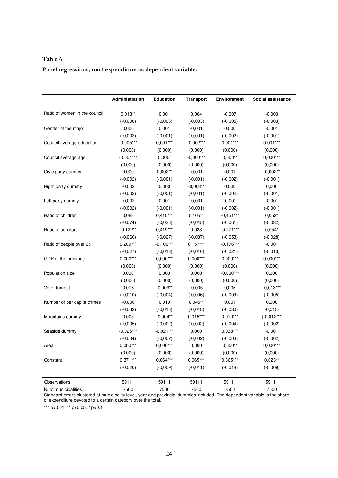**Panel regressions, total expenditure as dependent variable.** 

|                               | Administration | <b>Education</b> | <b>Transport</b> | <b>Environment</b> | Social assistance |
|-------------------------------|----------------|------------------|------------------|--------------------|-------------------|
| Ratio of women in the council |                |                  |                  |                    |                   |
|                               | $0,013**$      | 0,001            | 0,004            | $-0,007$           | $-0,003$          |
|                               | $(-0,006)$     | $(-0,003)$       | $(-0,003)$       | $(-0,005)$         | $(-0,003)$        |
| Gender of the major           | 0,000          | 0,001            | $-0,001$         | 0,000              | $-0,001$          |
|                               | $(-0,002)$     | $(-0,001)$       | $(-0,001)$       | $(-0,002)$         | $(-0,001)$        |
| Council average education     | $-0,005***$    | $0,001***$       | $-0,002***$      | $0,001***$         | $0,001***$        |
|                               | (0,000)        | (0,000)          | (0,000)          | (0,000)            | (0,000)           |
| Council average age           | $-0,001***$    | $0,000*$         | $-0,000***$      | $0,000**$          | $0,000***$        |
|                               | (0,000)        | (0,000)          | (0,000)          | (0,000)            | (0,000)           |
| Civic party dummy             | 0,000          | $0,002**$        | $-0,001$         | 0,001              | $-0,002**$        |
|                               | $(-0,002)$     | $(-0,001)$       | $(-0,001)$       | $(-0,002)$         | $(-0,001)$        |
| Right party dummy             | $-0,002$       | 0,000            | $-0,003**$       | 0,000              | 0,000             |
|                               | $(-0,002)$     | $(-0,001)$       | $(-0,001)$       | $(-0,002)$         | $(-0,001)$        |
| Left party dummy              | $-0,002$       | 0,001            | $-0,001$         | $-0,001$           | $-0,001$          |
|                               | $(-0,002)$     | $(-0,001)$       | $(-0,001)$       | $(-0,002)$         | $(-0,001)$        |
| Ratio of children             | 0,083          | $0,410***$       | $0,105***$       | $-0,451***$        | $0,052*$          |
|                               | $(-0,074)$     | $(-0,036)$       | $(-0,045)$       | $(-0,061)$         | $(-0,032)$        |
| Ratio of scholars             | $-0,122**$     | $0,419***$       | 0,033            | $-0,271***$        | $0,054*$          |
|                               | $(-0,060)$     | $(-0,027)$       | $(-0,037)$       | $(-0,053)$         | $(-0,028)$        |
| Ratio of people over 65       | $0,209***$     | $-0.106***$      | $0,157***$       | $-0,176***$        | $-0,001$          |
|                               | $(-0,027)$     | $(-0,013)$       | $(-0,016)$       | $(-0,021)$         | $(-0,013)$        |
| GDP of the province           | $0,000***$     | $0,000***$       | $0,000***$       | $0,000***$         | $0,000***$        |
|                               | (0,000)        | (0,000)          | (0,000)          | (0,000)            | (0,000)           |
| Population size               | 0,000          | 0,000            | 0,000            | $-0,000***$        | 0,000             |
|                               | (0,000)        | (0,000)          | (0,000)          | (0,000)            | (0,000)           |
| Voter turnout                 | 0,016          | $-0,009**$       | $-0,005$         | 0,006              | $-0,013***$       |
|                               | $(-0,010)$     | $(-0,004)$       | $(-0,006)$       | $(-0,009)$         | $(-0,005)$        |
| Number of per capita crimes   | $-0,006$       | 0,019            | $0,045**$        | 0,001              | 0,000             |
|                               | $(-0,033)$     | $(-0,016)$       | $(-0,018)$       | $(-0,030)$         | $-0,015)$         |
| Mountains dummy               | 0,005          | $-0,004**$       | $0,015***$       | $0,010***$         | $(-0,012***$      |
|                               | $(-0,005)$     | $(-0,002)$       | $(-0,002)$       | $(-0,004)$         | $(-0,002)$        |
| Seaside dummy                 | $-0,025***$    | $-0,021***$      | 0,000            | $0,038***$         | $-0,001$          |
|                               | $(-0,004)$     | $(-0,002)$       | $(-0,002)$       | $(-0,003)$         | $(-0,002)$        |
| Area                          | $0,000***$     | $0,000***$       | 0,000            | $0,000**$          | $0,000***$        |
|                               | (0,000)        | (0,000)          | (0,000)          | (0,000)            | (0,000)           |
| Constant                      | $0,371***$     | $0,064***$       | $0,065***$       | $0,365***$         | $0,023**$         |
|                               | $(-0,020)$     | $(-0.009)$       | $(-0,011)$       | $(-0,018)$         | $(-0.009)$        |
| Observations                  | 59111          | 59111            | 59111            | 59111              | 59111             |
| N. of municipalities          | 7500           | 7500             | 7500             | 7500               | 7500              |

Standard errors clustered at municipality level, year and provincial dummies included. The dependent variable is the share of expenditure devoted to a certain category over the total.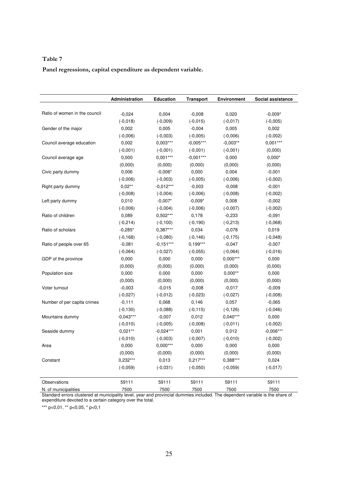**Panel regressions, capital expenditure as dependent variable.** 

|                               | Administration      | <b>Education</b>         | <b>Transport</b> | <b>Environment</b>       | Social assistance   |
|-------------------------------|---------------------|--------------------------|------------------|--------------------------|---------------------|
| Ratio of women in the council | $-0,024$            | 0,004                    | $-0,008$         | 0,020                    | $-0,009*$           |
|                               | $(-0,018)$          | $(-0,009)$               | $(-0,015)$       | $(-0,017)$               | $(-0,005)$          |
| Gender of the major           | 0,002               | 0,005                    | $-0,004$         | 0,005                    | 0,002               |
|                               |                     |                          | $(-0,005)$       |                          | $(-0,002)$          |
|                               | $(-0,006)$<br>0,002 | $(-0,003)$<br>$0,003***$ | $-0,005***$      | $(-0,006)$<br>$-0,003**$ | $0,001***$          |
| Council average education     |                     | $(-0,001)$               | $(-0,001)$       |                          |                     |
|                               | $(-0,001)$<br>0,000 | $0,001***$               | $-0,001***$      | $(-0,001)$<br>0,000      | (0,000)<br>$0,000*$ |
| Council average age           |                     |                          |                  |                          |                     |
|                               | (0,000)             | (0,000)                  | (0,000)          | (0,000)                  | (0,000)             |
| Civic party dummy             | 0,006               | $-0,006*$                | 0,000            | 0,004                    | $-0,001$            |
|                               | $(-0,006)$          | $(-0,003)$               | $(-0,005)$       | $(-0,006)$               | $(-0,002)$          |
| Right party dummy             | $0,02**$            | $-0,012***$              | $-0,003$         | $-0,008$                 | $-0,001$            |
|                               | $(-0,008)$          | $(-0,004)$               | $(-0,006)$       | $(-0,008)$               | $(-0,002)$          |
| Left party dummy              | 0,010               | $-0,007*$                | $-0,009*$        | 0,008                    | $-0,002$            |
|                               | $(-0,006)$          | $(-0,004)$               | $(-0,006)$       | $(-0,007)$               | $(-0,002)$          |
| Ratio of children             | 0,089               | $0,502***$               | 0,178            | $-0,233$                 | $-0,091$            |
|                               | $(-0, 214)$         | $(-0, 100)$              | $(-0, 190)$      | $(-0, 213)$              | $(-0,068)$          |
| Ratio of scholars             | $-0,285*$           | $0,387***$               | 0,034            | $-0,078$                 | 0,019               |
|                               | $(-0, 168)$         | $(-0,080)$               | $(-0, 146)$      | $(-0, 175)$              | $(-0,048)$          |
| Ratio of people over 65       | $-0,081$            | $-0,151***$              | $0,199***$       | $-0,047$                 | $-0,007$            |
|                               | $(-0,064)$          | $(-0,027)$               | $(-0,055)$       | $(-0,064)$               | $(-0,016)$          |
| GDP of the province           | 0,000               | 0,000                    | 0,000            | $0,000***$               | 0,000               |
|                               | (0,000)             | (0,000)                  | (0,000)          | (0,000)                  | (0,000)             |
| Population size               | 0,000               | 0,000                    | 0,000            | $0,000**$                | 0,000               |
|                               | (0,000)             | (0,000)                  | (0,000)          | (0,000)                  | (0,000)             |
| Voter turnout                 | $-0,003$            | $-0,015$                 | $-0,008$         | $-0,017$                 | $-0,009$            |
|                               | $(-0,027)$          | $(-0,012)$               | $(-0,023)$       | $(-0,027)$               | $(-0,008)$          |
| Number of per capita crimes   | $-0,111$            | 0,068                    | 0,146            | 0,057                    | $-0,065$            |
|                               | $(-0, 130)$         | $(-0,088)$               | $(-0, 115)$      | $(-0, 126)$              | $(-0,046)$          |
| Mountains dummy               | $-0,043***$         | $-0,007$                 | 0,012            | $0,040***$               | 0,000               |
|                               | $(-0,010)$          | $(-0,005)$               | $(-0,008)$       | $(-0,011)$               | $(-0,002)$          |
| Seaside dummy                 | $0,021***$          | $-0,024***$              | 0,001            | 0,012                    | $-0,006***$         |
|                               | $(-0,010)$          | $(-0,003)$               | $(-0,007)$       | $(-0,010)$               | $(-0,002)$          |
| Area                          | 0,000               | $0,000***$               | 0,000            | 0,000                    | 0,000               |
|                               | (0,000)             | (0,000)                  | (0,000)          | (0,000)                  | (0,000)             |
| Constant                      | $0,232***$          | 0,013                    | $0,217***$       | 0,388***                 | 0,024               |
|                               | $(-0,059)$          | $(-0.031)$               | $(-0,050)$       | $(-0,059)$               | $(-0,017)$          |
| Observations                  | 59111               | 59111                    | 59111            | 59111                    | 59111               |
| N. of municipalities          | 7500                | 7500                     | 7500             | 7500                     | 7500                |

Standard errors clustered at municipality level, year and provincial dummies included. The dependent variable is the share of expenditure devoted to a certain category over the total.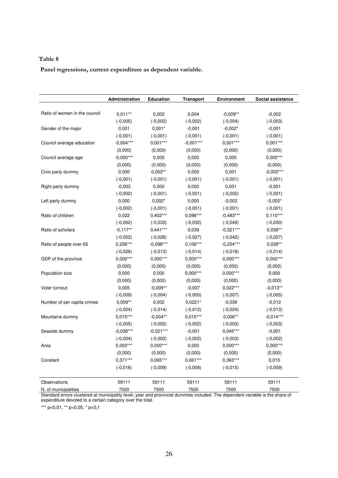**Panel regressions, current expenditure as dependent variable.** 

|                               | Administration | <b>Education</b> | <b>Transport</b> | <b>Environment</b> | Social assistance |
|-------------------------------|----------------|------------------|------------------|--------------------|-------------------|
|                               |                |                  |                  |                    |                   |
| Ratio of women in the council | $0,011**$      | 0,002            | 0,004            | $-0,009**$         | $-0,002$          |
|                               | $(-0,005)$     | $(-0,002)$       | $(-0,002)$       | $(-0,004)$         | $(-0,003)$        |
| Gender of the major           | 0,001          | $0,001*$         | $-0,001$         | $-0,002*$          | $-0,001$          |
|                               | $(-0,001)$     | $(-0,001)$       | $(-0,001)$       | $(-0,001)$         | $(-0,001)$        |
| Council average education     | $-0,004***$    | $0,001***$       | $-0,001***$      | $0,001***$         | $0,001***$        |
|                               | (0,000)        | (0,000)          | (0,000)          | (0,000)            | (0,000)           |
| Council average age           | $-0,000***$    | 0,000            | 0,000            | 0,000              | $0,000***$        |
|                               | (0,000)        | (0,000)          | (0,000)          | (0,000)            | (0,000)           |
| Civic party dummy             | 0,000          | $0,002**$        | 0,000            | 0,001              | $-0,002***$       |
|                               | $(-0,001)$     | $(-0,001)$       | $(-0,001)$       | $(-0,001)$         | $(-0,001)$        |
| Right party dummy             | $-0,003$       | 0,000            | 0,000            | 0,001              | $-0,001$          |
|                               | $(-0,002)$     | $(-0,001)$       | $(-0,001)$       | $(-0,002)$         | $(-0,001)$        |
| Left party dummy              | 0,000          | $0,002*$         | 0,000            | $-0,002$           | $-0,002*$         |
|                               | $(-0,002)$     | $(-0,001)$       | $(-0,001)$       | $(-0,001)$         | $(-0,001)$        |
| Ratio of children             | 0,022          | $0,402***$       | 0,096***         | $-0,483***$        | $0,110***$        |
|                               | $(-0,062)$     | $(-0,033)$       | $(-0,032)$       | $(-0,049)$         | $(-0,030)$        |
| Ratio of scholars             | $-0,117**$     | $0,441***$       | 0,039            | $-0,321***$        | $0,058**$         |
|                               | $(-0,052)$     | $(-0,026)$       | $(-0,027)$       | $(-0,042)$         | $(-0,027)$        |
| Ratio of people over 65       | $0,226***$     | $-0,098***$      | $0,106***$       | $-0,204***$        | $0,028**$         |
|                               | $(-0,026)$     | $(-0,013)$       | $(-0,014)$       | $(-0,018)$         | $(-0,014)$        |
| GDP of the province           | $0,000***$     | $0,000***$       | $0,000***$       | $0,000***$         | $0,000***$        |
|                               | (0,000)        | (0,000)          | (0,000)          | (0,000)            | (0,000)           |
| Population size               | 0,000          | 0,000            | $0,000***$       | $0,000***$         | 0,000             |
|                               | (0,000)        | (0,000)          | (0,000)          | (0,000)            | (0,000)           |
| Voter turnout                 | 0,005          | $-0,009**$       | $-0,007$         | $0,022***$         | $-0,013**$        |
|                               | $(-0,009)$     | $(-0,004)$       | $(-0,005)$       | $(-0,007)$         | $(-0,005)$        |
| Number of per capita crimes   | $0,059**$      | 0,002            | $0,0221*$        | $-0,036$           | $-0,012$          |
|                               | $(-0,024)$     | $(-0,014)$       | $(-0,012)$       | $(-0,024)$         | $(-0,013)$        |
| Mountains dummy               | $0,015***$     | $-0,004**$       | $0,015***$       | $0,006**$          | $-0,014***$       |
|                               | $(-0,005)$     | $(-0,002)$       | $(-0,002)$       | $(-0,003)$         | $(-0,003)$        |
| Seaside dummy                 | $-0,038***$    | $-0,021***$      | $-0,001$         | $0,045***$         | $-0,001$          |
|                               | $(-0,004)$     | $(-0,002)$       | $(-0,002)$       | $(-0,003)$         | $(-0,002)$        |
| Area                          | $0,000***$     | $0,000***$       | 0,000            | $0,000***$         | $0,000***$        |
|                               | (0,000)        | (0,000)          | (0,000)          | (0,000)            | (0,000)           |
| Constant                      | $0,371***$     | 0,065***         | $0,061***$       | $0,363***$         | 0,010             |
|                               | $(-0,016)$     | $(-0,009)$       | $(-0,008)$       | $(-0,015)$         | $(-0,009)$        |
| Observations                  | 59111          | 59111            | 59111            | 59111              | 59111             |
| N. of municipalities          | 7500           | 7500             | 7500             | 7500               | 7500              |

Standard errors clustered at municipality level, year and provincial dummies included. The dependent variable is the share of expenditure devoted to a certain category over the total.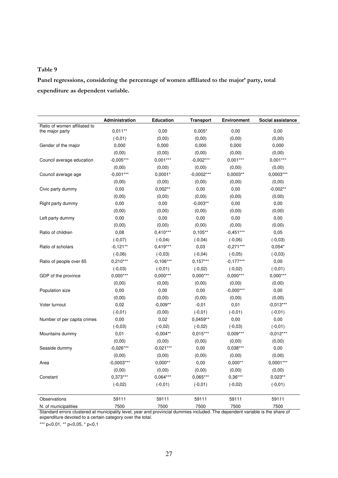**Panel regressions, considering the percentage of women affiliated to the major' party, total expenditure as dependent variable.** 

|                                                 | Administration | <b>Education</b> | <b>Transport</b> | <b>Environment</b> | Social assistance |
|-------------------------------------------------|----------------|------------------|------------------|--------------------|-------------------|
| Ratio of women affiliated to<br>the major party | $0,011**$      | 0,00             | $0,005*$         | 0,00               | 0,00              |
|                                                 | $(-0,01)$      | (0,00)           | (0,00)           | (0,00)             | (0,00)            |
| Gender of the major                             | 0,000          | 0,000            | 0,000            | 0,000              | 0,000             |
|                                                 | (0,00)         | (0,00)           | (0,00)           | (0,00)             | (0,00)            |
|                                                 | $-0,005***$    | $0,001***$       | $-0,002***$      | $0,001***$         | $0,001***$        |
| Council average education                       |                |                  |                  |                    |                   |
|                                                 | (0,00)         | (0,00)           | (0,00)           | (0,00)             | (0,00)            |
| Council average age                             | $-0.001***$    | $0,0001*$        | $-0,0002***$     | $0,0003**$         | 0,0003***         |
|                                                 | (0,00)         | (0,00)           | (0,00)           | (0,00)             | (0,00)            |
| Civic party dummy                               | 0,00           | $0,002**$        | 0,00             | 0,00               | $-0,002**$        |
|                                                 | (0,00)         | (0,00)           | (0,00)           | (0,00)             | (0,00)            |
| Right party dummy                               | 0,00           | 0,00             | $-0,003**$       | 0,00               | 0,00              |
|                                                 | (0,00)         | (0,00)           | (0,00)           | (0,00)             | (0,00)            |
| Left party dummy                                | 0,00           | 0,00             | 0,00             | 0,00               | 0,00              |
|                                                 | (0,00)         | (0,00)           | (0,00)           | (0,00)             | (0,00)            |
| Ratio of children                               | 0,08           | $0,410***$       | $0,105***$       | $-0,451***$        | 0,05              |
|                                                 | $(-0,07)$      | $(-0, 04)$       | $(-0,04)$        | $(-0,06)$          | $(-0,03)$         |
| Ratio of scholars                               | $-0,121**$     | $0,419***$       | 0,03             | $-0,271***$        | $0,054*$          |
|                                                 | $(-0,06)$      | $(-0,03)$        | $(-0,04)$        | $(-0,05)$          | $(-0,03)$         |
| Ratio of people over 65                         | $0,210***$     | $-0,106***$      | $0,157***$       | $-0,177***$        | 0,00              |
|                                                 | $(-0,03)$      | $(-0,01)$        | $(-0,02)$        | $(-0,02)$          | $(-0, 01)$        |
| GDP of the province                             | $0,000***$     | $0,000***$       | $0,000***$       | $0,000***$         | $0,000***$        |
|                                                 | (0,00)         | (0,00)           | (0,00)           | (0,00)             | (0,00)            |
| Population size                                 | 0,00           | 0,00             | 0,00             | $-0,000***$        | 0,00              |
|                                                 | (0,00)         | (0,00)           | (0,00)           | (0,00)             | (0,00)            |
| Voter turnout                                   | 0,02           | $-0,009**$       | $-0,01$          | 0,01               | $-0,013***$       |
|                                                 | $(-0,01)$      | (0,00)           | $(-0,01)$        | $(-0,01)$          | $(-0,01)$         |
| Number of per capita crimes                     | 0,00           | 0,02             | $0,0459**$       | 0,00               | 0,00              |
|                                                 | $(-0,03)$      | $(-0,02)$        | $(-0,02)$        | $(-0,03)$          | $(-0,01)$         |
| Mountains dummy                                 | 0,01           | $-0.004**$       | $0.015***$       | $0,009***$         | $-0,012***$       |
|                                                 | (0,00)         | (0,00)           | (0,00)           | (0,00)             | (0,00)            |
| Seaside dummy                                   | $-0.026***$    | $-0.021***$      | 0,00             | $0.038***$         | 0,00              |
|                                                 | (0,00)         | (0,00)           | (0,00)           | (0,00)             | (0,00)            |
| Area                                            | $-0,0003***$   | $0,000**$        | 0,00             | $0,000**$          | $0,0001***$       |
|                                                 | (0,00)         | (0,00)           | (0,00)           | (0,00)             | (0,00)            |
| Constant                                        | $0,373***$     | $0,064***$       | 0,065***         | $0,36***$          | $0,023**$         |
|                                                 | $(-0,02)$      | $(-0,01)$        | $(-0, 01)$       | $(-0,02)$          | $(-0, 01)$        |
| Observations                                    | 59111          | 59111            | 59111            | 59111              | 59111             |
| N. of municipalities                            | 7500           | 7500             | 7500             | 7500               | 7500              |

Standard errors clustered at municipality level, year and provincial dummies included. The dependent variable is the share of expenditure devoted to a certain category over the total.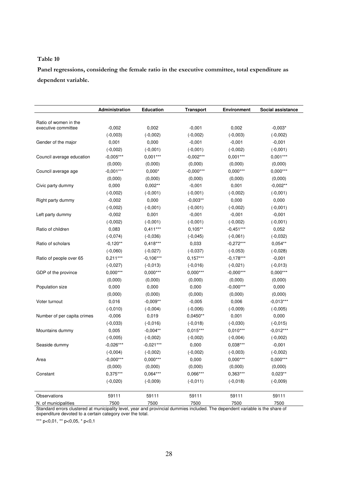**Panel regressions, considering the female ratio in the executive committee, total expenditure as dependent variable.** 

|                             | Administration | <b>Education</b> | <b>Transport</b> | <b>Environment</b> | Social assistance |
|-----------------------------|----------------|------------------|------------------|--------------------|-------------------|
| Ratio of women in the       |                |                  |                  |                    |                   |
| executive committee         | $-0,002$       | 0,002            | $-0,001$         | 0,002              | $-0,003*$         |
|                             | $(-0,003)$     | $(-0,002)$       | $(-0,002)$       | $(-0,003)$         | $(-0,002)$        |
| Gender of the major         | 0,001          | 0,000            | $-0,001$         | $-0,001$           | $-0,001$          |
|                             | $(-0,002)$     | $(-0,001)$       | $(-0,001)$       | $(-0,002)$         | $(-0,001)$        |
| Council average education   | $-0,005***$    | $0,001***$       | $-0,002***$      | $0,001***$         | $0,001***$        |
|                             | (0,000)        | (0,000)          | (0,000)          | (0,000)            | (0,000)           |
| Council average age         | $-0,001***$    | $0,000*$         | $-0,000***$      | $0,000***$         | $0,000***$        |
|                             | (0,000)        | (0,000)          | (0,000)          | (0,000)            | (0,000)           |
| Civic party dummy           | 0,000          | $0,002**$        | $-0,001$         | 0,001              | $-0,002**$        |
|                             | $(-0,002)$     | $(-0,001)$       | $(-0,001)$       | $(-0,002)$         | $(-0,001)$        |
| Right party dummy           | $-0,002$       | 0,000            | $-0,003**$       | 0,000              | 0,000             |
|                             | $(-0,002)$     | $(-0,001)$       | $(-0,001)$       | $(-0,002)$         | $(-0,001)$        |
| Left party dummy            | $-0,002$       | 0,001            | $-0,001$         | $-0,001$           | $-0,001$          |
|                             | $(-0,002)$     | $(-0,001)$       | $(-0,001)$       | $(-0,002)$         | $(-0,001)$        |
| Ratio of children           | 0,083          | $0,411***$       | $0,105**$        | $-0,451***$        | 0,052             |
|                             | $(-0,074)$     | $(-0,036)$       | $(-0,045)$       | $(-0,061)$         | $(-0,032)$        |
| Ratio of scholars           | $-0,120**$     | $0,418***$       | 0,033            | $-0,272***$        | $0,054**$         |
|                             | $(-0,060)$     | $(-0,027)$       | $(-0,037)$       | $(-0,053)$         | $(-0,028)$        |
| Ratio of people over 65     | $0,211***$     | $-0,106***$      | $0,157***$       | $-0,178***$        | $-0,001$          |
|                             | $(-0,027)$     | $(-0,013)$       | $(-0,016)$       | $(-0,021)$         | $(-0,013)$        |
| GDP of the province         | $0,000***$     | $0,000***$       | $0,000***$       | $-0,000***$        | $0,000***$        |
|                             | (0,000)        | (0,000)          | (0,000)          | (0,000)            | (0,000)           |
| Population size             | 0,000          | 0,000            | 0,000            | $-0,000***$        | 0,000             |
|                             | (0,000)        | (0,000)          | (0,000)          | (0,000)            | (0,000)           |
| Voter turnout               | 0,016          | $-0,009**$       | $-0,005$         | 0,006              | $-0,013***$       |
|                             | $(-0,010)$     | $(-0,004)$       | $(-0,006)$       | $(-0,009)$         | $(-0,005)$        |
| Number of per capita crimes | $-0,006$       | 0,019            | $0,0450**$       | 0,001              | 0,000             |
|                             | $(-0,033)$     | $(-0,016)$       | $(-0,018)$       | $(-0,030)$         | $(-0,015)$        |
| Mountains dummy             | 0,005          | $-0,004**$       | $0,015***$       | $0,010***$         | $-0,012***$       |
|                             | $(-0,005)$     | $(-0,002)$       | $(-0,002)$       | $(-0,004)$         | $(-0,002)$        |
| Seaside dummy               | $-0,026***$    | $-0,021***$      | 0,000            | $0,038***$         | $-0,001$          |
|                             | $(-0,004)$     | $(-0,002)$       | $(-0,002)$       | $(-0,003)$         | $(-0,002)$        |
| Area                        | $-0,000***$    | $0,000***$       | 0,000            | $0,000***$         | $0,000***$        |
|                             | (0,000)        | (0,000)          | (0,000)          | (0,000)            | (0,000)           |
| Constant                    | $0,375***$     | $0,064***$       | $0,066***$       | $0,363***$         | $0,023**$         |
|                             | $(-0,020)$     | $(-0,009)$       | $(-0,011)$       | $(-0,018)$         | $(-0,009)$        |
| Observations                | 59111          | 59111            | 59111            | 59111              | 59111             |
| N. of municipalities        | 7500           | 7500             | 7500             | 7500               | 7500              |

Standard errors clustered at municipality level, year and provincial dummies included. The dependent variable is the share of expenditure devoted to a certain category over the total.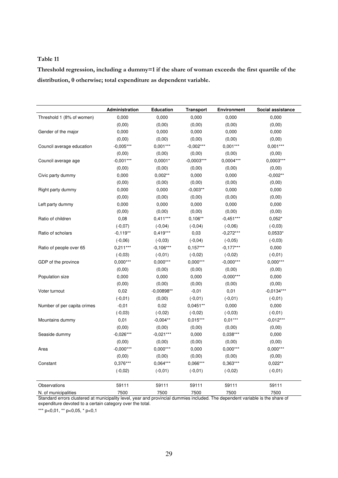**Threshold regression, including a dummy=1 if the share of woman exceeds the first quartile of the distribution, 0 otherwise; total expenditure as dependent variable.** 

|                             | Administration | <b>Education</b> | <b>Transport</b> | <b>Environment</b> | Social assistance |
|-----------------------------|----------------|------------------|------------------|--------------------|-------------------|
| Threshold 1 (8% of women)   | 0,000          | 0,000            | 0,000            | 0,000              | 0,000             |
|                             | (0,00)         | (0,00)           | (0,00)           | (0,00)             | (0,00)            |
| Gender of the major         | 0,000          | 0,000            | 0,000            | 0,000              | 0,000             |
|                             | (0,00)         | (0,00)           | (0,00)           | (0,00)             | (0,00)            |
| Council average education   | $-0.005***$    | $0.001***$       | $-0,002***$      | $0,001***$         | $0,001***$        |
|                             | (0,00)         | (0,00)           | (0,00)           | (0,00)             | (0,00)            |
| Council average age         | $-0.001***$    | $0,0001*$        | $-0.0003***$     | 0.0004***          | $0.0003***$       |
|                             | (0,00)         | (0,00)           | (0,00)           | (0,00)             | (0,00)            |
| Civic party dummy           | 0,000          | $0,002**$        | 0,000            | 0,000              | $-0,002**$        |
|                             | (0,00)         | (0,00)           | (0,00)           | (0,00)             | (0,00)            |
| Right party dummy           | 0,000          | 0,000            | $-0.003**$       | 0,000              | 0,000             |
|                             | (0,00)         | (0,00)           | (0,00)           | (0,00)             | (0,00)            |
| Left party dummy            | 0,000          | 0,000            | 0,000            | 0,000              | 0,000             |
|                             | (0,00)         | (0,00)           | (0,00)           | (0,00)             | (0,00)            |
| Ratio of children           | 0,08           | $0.411***$       | $0.106**$        | $-0.451***$        | $0,052*$          |
|                             | $(-0,07)$      | $(-0,04)$        | $(-0, 04)$       | $(-0,06)$          | $(-0,03)$         |
| Ratio of scholars           | $-0,119**$     | $0,419***$       | 0,03             | $-0,272***$        | 0,0533*           |
|                             | $(-0,06)$      | $(-0,03)$        | $(-0, 04)$       | $(-0,05)$          | $(-0,03)$         |
| Ratio of people over 65     | $0.211***$     | $-0.106***$      | $0.157***$       | $-0.177***$        | 0,000             |
|                             | $(-0,03)$      | $(-0,01)$        | $(-0,02)$        | $(-0,02)$          | $(-0,01)$         |
| GDP of the province         | $0,000***$     | $0,000***$       | $0,000***$       | $-0,000***$        | $0,000***$        |
|                             | (0,00)         | (0,00)           | (0,00)           | (0,00)             | (0,00)            |
| Population size             | 0,000          | 0,000            | 0,000            | $-0,000***$        | 0,000             |
|                             | (0,00)         | (0,00)           | (0,00)           | (0,00)             | (0,00)            |
| Voter turnout               | 0,02           | $-0.00898**$     | $-0,01$          | 0,01               | $-0.0134***$      |
|                             | $(-0, 01)$     | (0,00)           | $(-0,01)$        | $(-0,01)$          | $(-0,01)$         |
| Number of per capita crimes | $-0,01$        | 0,02             | 0,0451**         | 0,000              | 0,000             |
|                             | $(-0,03)$      | $(-0,02)$        | $(-0,02)$        | $(-0,03)$          | $(-0,01)$         |
| Mountains dummy             | 0,01           | $-0.004**$       | $0.015***$       | $0.01***$          | $-0.012***$       |
|                             | (0,00)         | (0,00)           | (0,00)           | (0,00)             | (0,00)            |
| Seaside dummy               | $-0,026***$    | $-0,021***$      | 0,000            | $0,038***$         | 0,000             |
|                             | (0,00)         | (0,00)           | (0,00)           | (0,00)             | (0,00)            |
| Area                        | $-0,000***$    | $0,000***$       | 0,000            | $0,000***$         | $0,000***$        |
|                             | (0,00)         | (0,00)           | (0,00)           | (0,00)             | (0,00)            |
| Constant                    | $0,376***$     | $0.064***$       | 0.066***         | 0.363***           | $0.022**$         |
|                             | $(-0,02)$      | $(-0,01)$        | $(-0, 01)$       | $(-0,02)$          | $(-0,01)$         |
| Observations                | 59111          | 59111            | 59111            | 59111              | 59111             |
| N. of municipalities        | 7500           | 7500             | 7500             | 7500               | 7500              |

Standard errors clustered at municipality level, year and provincial dummies included. The dependent variable is the share of expenditure devoted to a certain category over the total.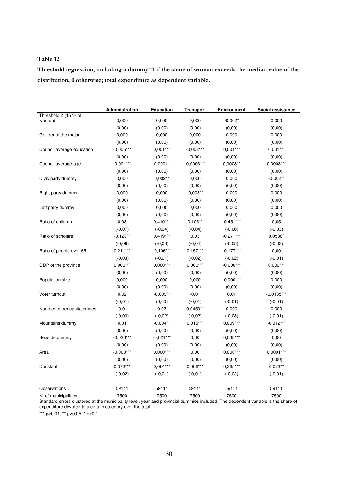**Threshold regression, including a dummy=1 if the share of woman exceeds the median value of the distribution, 0 otherwise; total expenditure as dependent variable.** 

|                                | Administration | <b>Education</b> | <b>Transport</b> | <b>Environment</b> | Social assistance |
|--------------------------------|----------------|------------------|------------------|--------------------|-------------------|
| Threshold 2 (15 % of<br>women) | 0,000          | 0,000            | 0,000            | $-0,002*$          | 0,000             |
|                                | (0,00)         | (0,00)           | (0,00)           | (0,00)             | (0,00)            |
| Gender of the major            | 0,000          | 0,000            | 0,000            | 0,000              | 0,000             |
|                                | (0,00)         | (0,00)           | (0,00)           | (0,00)             | (0,00)            |
| Council average education      | $-0,005***$    | $0,001***$       | $-0,002***$      | $0,001***$         | $0,001***$        |
|                                | (0,00)         | (0,00)           | (0,00)           | (0,00)             | (0,00)            |
|                                | $-0,001***$    | $0,0001*$        | $-0,0003***$     | $0,0003**$         | $0,0003***$       |
| Council average age            |                |                  |                  |                    |                   |
|                                | (0,00)         | (0,00)           | (0,00)           | (0,00)             | (0,00)            |
| Civic party dummy              | 0,000          | $0,002**$        | 0,000            | 0,000              | $-0,002**$        |
|                                | (0,00)         | (0,00)           | (0,00)           | (0,00)             | (0,00)            |
| Right party dummy              | 0,000          | 0,000            | $-0,003**$       | 0,000              | 0,000             |
|                                | (0,00)         | (0,00)           | (0,00)           | (0,00)             | (0,00)            |
| Left party dummy               | 0,000          | 0,000            | 0,000            | 0,000              | 0,000             |
|                                | (0,00)         | (0,00)           | (0,00)           | (0,00)             | (0,00)            |
| Ratio of children              | 0,08           | $0,410***$       | $0,105***$       | $-0,451***$        | 0,05              |
|                                | $(-0,07)$      | $(-0,04)$        | $(-0, 04)$       | $(-0,06)$          | $(-0,03)$         |
| Ratio of scholars              | $-0,120**$     | $0.419***$       | 0,03             | $-0,271***$        | 0,0536*           |
|                                | $(-0,06)$      | $(-0,03)$        | $(-0, 04)$       | $(-0,05)$          | $(-0,03)$         |
| Ratio of people over 65        | $0,211***$     | $-0,106***$      | $0,157***$       | $-0,177***$        | 0,00              |
|                                | $(-0,03)$      | $(-0,01)$        | $(-0.02)$        | $(-0,02)$          | $(-0,01)$         |
| GDP of the province            | $0,000***$     | $0,000***$       | $0,000***$       | $-0,000***$        | $0,000***$        |
|                                | (0,00)         | (0,00)           | (0,00)           | (0,00)             | (0,00)            |
| Population size                | 0,000          | 0,000            | 0,000            | $-0,000***$        | 0,000             |
|                                | (0,00)         | (0,00)           | (0,00)           | (0,00)             | (0,00)            |
| Voter turnout                  | 0,02           | $-0,009**$       | $-0,01$          | 0,01               | $-0,0135***$      |
|                                | $(-0,01)$      | (0,00)           | $(-0,01)$        | $(-0,01)$          | $(-0, 01)$        |
| Number of per capita crimes    | $-0,01$        | 0,02             | $0,0450**$       | 0,000              | 0,000             |
|                                | $(-0,03)$      | $(-0,02)$        | $(-0,02)$        | $(-0,03)$          | $(-0,01)$         |
| Mountains dummy                | 0,01           | $-0,004**$       | $0,015***$       | $0,009***$         | $-0,012***$       |
|                                | (0,00)         | (0,00)           | (0,00)           | (0,00)             | (0,00)            |
| Seaside dummy                  | $-0,026***$    | $-0,021***$      | 0,00             | $0,038***$         | 0,00              |
|                                | (0,00)         | (0,00)           | (0,00)           | (0,00)             | (0,00)            |
| Area                           | $-0,000***$    | $0,000***$       | 0,00             | $0,000***$         | $0,0001***$       |
|                                | (0,00)         | (0,00)           | (0,00)           | (0,00)             | (0,00)            |
| Constant                       | $0,373***$     | $0.064***$       | 0,066***         | 0,365***           | $0,023**$         |
|                                | $(-0,02)$      | $(-0,01)$        | $(-0,01)$        | $(-0,02)$          | $(-0,01)$         |
| Observations                   | 59111          | 59111            | 59111            | 59111              | 59111             |
| N. of municipalities           | 7500           | 7500             | 7500             | 7500               | 7500              |

Standard errors clustered at the municipality level, year and provincial dummies included. The dependent variable is the share of expenditure devoted to a certain category over the total.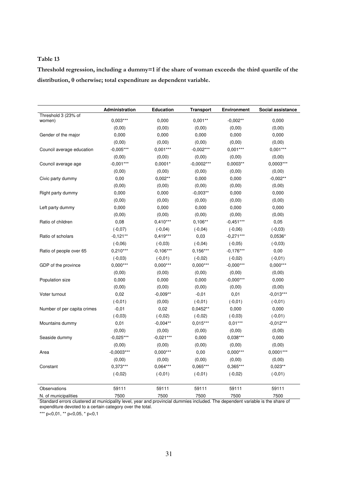**Threshold regression, including a dummy=1 if the share of woman exceeds the third quartile of the distribution, 0 otherwise; total expenditure as dependent variable.** 

|                                              | Administration           | <b>Education</b>  | <b>Transport</b> | <b>Environment</b>     | Social assistance       |
|----------------------------------------------|--------------------------|-------------------|------------------|------------------------|-------------------------|
| Threshold 3 (23% of<br>women)                | $0,003***$               | 0,000             | $0.001**$        | $-0.002**$             | 0,000                   |
|                                              | (0,00)                   | (0,00)            |                  |                        | (0,00)                  |
|                                              |                          |                   | (0,00)           | (0,00)                 |                         |
| Gender of the major                          | 0,000                    | 0,000             | 0,000            | 0,000                  | 0,000                   |
|                                              | (0,00)                   | (0,00)            | (0,00)           | (0,00)                 | (0,00)                  |
| Council average education                    | $-0,005***$              | $0,001***$        | $-0,002***$      | $0,001***$             | $0,001***$              |
|                                              | (0,00)                   | (0,00)            | (0,00)           | (0,00)                 | (0,00)                  |
| Council average age                          | $-0,001***$              | $0,0001*$         | $-0,0002***$     | $0,0003**$             | 0,0003***               |
|                                              | (0,00)                   | (0,00)            | (0,00)           | (0,00)                 | (0,00)                  |
| Civic party dummy                            | 0,00                     | $0,002**$         | 0,000            | 0,000                  | $-0,002**$              |
|                                              | (0,00)                   | (0,00)            | (0,00)           | (0,00)                 | (0,00)                  |
| Right party dummy                            | 0,000                    | 0,000             | $-0.003**$       | 0,000                  | 0,000                   |
|                                              | (0,00)                   | (0,00)            | (0,00)           | (0,00)                 | (0,00)                  |
| Left party dummy                             | 0,000                    | 0,000             | 0,000            | 0,000                  | 0,000                   |
|                                              | (0,00)                   | (0,00)            | (0,00)           | (0,00)                 | (0,00)                  |
| Ratio of children                            | 0,08                     | $0,410***$        | $0,106**$        | $-0,451***$            | 0,05                    |
|                                              | $(-0,07)$                | $(-0, 04)$        | $(-0,04)$        | $(-0,06)$              | $(-0,03)$               |
| Ratio of scholars                            | $-0,121**$               | $0,419***$        | 0,03             | $-0,271***$            | 0,0536*                 |
|                                              | $(-0,06)$                | $(-0,03)$         | $(-0,04)$        | $(-0,05)$              | $(-0,03)$               |
| Ratio of people over 65                      | $0,210***$               | $-0,106***$       | $0,156***$       | $-0,176***$            | 0,00                    |
|                                              | $(-0,03)$                | $(-0,01)$         | $(-0,02)$        | $(-0,02)$              | $(-0,01)$               |
| GDP of the province                          | $0.000***$               | $0.000***$        | $0.000***$       | $-0.000***$            | $0.000***$              |
|                                              | (0,00)                   | (0,00)            | (0,00)           | (0,00)                 | (0,00)                  |
| Population size                              | 0,000                    | 0,000             | 0,000            | $-0,000***$            | 0,000                   |
|                                              | (0,00)                   | (0,00)            | (0,00)           | (0,00)                 | (0,00)                  |
| Voter turnout                                | 0,02                     | $-0,009**$        | $-0,01$          | 0,01                   | $-0,013***$             |
|                                              | $(-0,01)$                | (0,00)            | $(-0,01)$        | $(-0,01)$              | $(-0,01)$               |
| Number of per capita crimes                  | $-0,01$                  | 0,02              | 0,0452**         | 0,000                  | 0,000                   |
|                                              | $(-0,03)$                | $(-0,02)$         | $(-0,02)$        | $(-0,03)$              | $(-0,01)$               |
| Mountains dummy                              | 0,01                     | $-0,004**$        | $0,015***$       | $0,01***$              | $-0,012***$             |
|                                              | (0,00)                   | (0,00)            | (0,00)           | (0,00)                 | (0,00)                  |
| Seaside dummy                                | $-0.025***$              | $-0.021***$       | 0,000            | $0.038***$             | 0,000                   |
|                                              | (0,00)                   | (0,00)            | (0,00)           | (0,00)                 | (0,00)                  |
| Area                                         | $-0,0003***$             | $0,000***$        | 0,00             | $0,000***$             | $0,0001***$             |
|                                              | (0,00)                   | (0,00)            | (0,00)           | (0,00)                 | (0,00)                  |
| Constant                                     | 0,373***                 | 0,064***          | 0,065***         | 0,365***               | $0,023**$               |
|                                              | $(-0,02)$                | $(-0,01)$         | $(-0,01)$        | $(-0,02)$              | $(-0,01)$               |
| Observations                                 | 59111                    | 59111             | 59111            | 59111                  | 59111                   |
| N. of municipalities<br>Ctandard arrara alus | 7500<br>municinality low | 7500<br>provincio | 7500<br>inoludod | 7500<br>anondont voric | 7500<br>in tha ahara af |

Standard errors clustered at municipality level, year and provincial dummies included. The dependent variable is the share of expenditure devoted to a certain category over the total.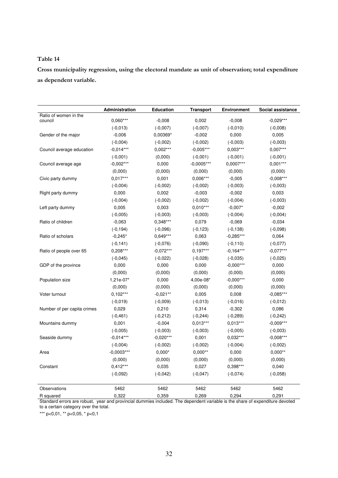**Cross municipality regression, using the electoral mandate as unit of observation; total expenditure as dependent variable.** 

|                             | Administration | <b>Education</b> | <b>Transport</b> | <b>Environment</b> | Social assistance |
|-----------------------------|----------------|------------------|------------------|--------------------|-------------------|
| Ratio of women in the       | $0,060***$     |                  |                  |                    | $-0,029***$       |
| council                     |                | $-0,008$         | 0,002            | $-0,008$           |                   |
|                             | $(-0,013)$     | $(-0,007)$       | $(-0,007)$       | $(-0,010)$         | $(-0,008)$        |
| Gender of the major         | $-0,006$       | 0,00369*         | $-0,002$         | 0,000              | 0,005             |
|                             | $(-0,004)$     | $(-0,002)$       | $(-0,002)$       | $(-0,003)$         | $(-0,003)$        |
| Council average education   | $-0,014***$    | $0,002***$       | $-0,005***$      | $0,003***$         | $0,007***$        |
|                             | $(-0,001)$     | (0,000)          | $(-0,001)$       | $(-0,001)$         | $(-0,001)$        |
| Council average age         | $-0,002***$    | 0,000            | $-0,0005***$     | 0,0007***          | $0,001***$        |
|                             | (0,000)        | (0,000)          | (0,000)          | (0,000)            | (0,000)           |
| Civic party dummy           | $0.017***$     | 0,001            | 0,006***         | $-0,005$           | $-0,008***$       |
|                             | $(-0,004)$     | $(-0,002)$       | $(-0,002)$       | $(-0,003)$         | $(-0,003)$        |
| Right party dummy           | 0,000          | 0,002            | $-0,003$         | $-0,002$           | 0,003             |
|                             | $(-0,004)$     | $(-0,002)$       | $(-0,002)$       | $(-0,004)$         | $(-0,003)$        |
| Left party dummy            | 0,005          | 0,003            | $0,010***$       | $-0,007*$          | $-0,002$          |
|                             | $(-0,005)$     | $(-0,003)$       | $(-0,003)$       | $(-0,004)$         | $(-0,004)$        |
| Ratio of children           | $-0,063$       | $0,348***$       | 0,079            | $-0,069$           | $-0,034$          |
|                             | $(-0, 194)$    | $(-0,096)$       | $(-0, 123)$      | $(-0, 138)$        | $(-0,098)$        |
| Ratio of scholars           | $-0,245*$      | 0,649***         | 0,063            | $-0,285***$        | 0,064             |
|                             | $(-0, 141)$    | $(-0,076)$       | $(-0,090)$       | $(-0, 110)$        | $(-0,077)$        |
| Ratio of people over 65     | $0,208***$     | $-0,072***$      | $0,197***$       | $-0,164***$        | $-0,077***$       |
|                             | $(-0,045)$     | $(-0,022)$       | $(-0,028)$       | $(-0,035)$         | $(-0,025)$        |
| GDP of the province         | 0,000          | 0,000            | 0,000            | $-0,000***$        | 0,000             |
|                             | (0,000)        | (0,000)          | (0,000)          | (0,000)            | (0,000)           |
| Population size             | 1,21e-07*      | 0,000            | 4,00e-08*        | $-0,000***$        | 0,000             |
|                             | (0,000)        | (0,000)          | (0,000)          | (0,000)            | (0,000)           |
| Voter turnout               | $0,102***$     | $-0,021**$       | 0,005            | 0,008              | $-0,085***$       |
|                             | $(-0,019)$     | $(-0,009)$       | $(-0,013)$       | $(-0,016)$         | $(-0,012)$        |
| Number of per capita crimes | 0,029          | 0,210            | 0,314            | $-0,302$           | 0,086             |
|                             | $(-0, 461)$    | $(-0, 212)$      | $(-0, 244)$      | $(-0, 289)$        | $(-0, 242)$       |
| Mountains dummy             | 0,001          | $-0,004$         | $0,013***$       | $0,013***$         | $-0,009***$       |
|                             | $(-0,005)$     | $(-0,003)$       | $(-0,003)$       | $(-0,005)$         | $(-0,003)$        |
| Seaside dummy               | $-0,014***$    | $-0,020***$      | 0,001            | $0,032***$         | $-0,008***$       |
|                             | $(-0.004)$     | $(-0.002)$       | $(-0,002)$       | $(-0,004)$         | $(-0,002)$        |
|                             | $-0,0003***$   | $0,000*$         | $0,000**$        | 0,000              | $0,000**$         |
| Area                        | (0,000)        | (0,000)          | (0,000)          | (0,000)            | (0,000)           |
| Constant                    | $0,412***$     | 0,035            | 0,027            | 0,398***           | 0,040             |
|                             | $(-0,092)$     | $(-0,042)$       | $(-0,047)$       | $(-0,074)$         | $(-0,058)$        |
| Observations                | 5462           |                  | 5462             | 5462               | 5462              |
|                             |                | 5462             |                  |                    |                   |
| R squared                   | 0,322          | 0,359            | 0,269            | 0,294              | 0,291             |

Standard errors are robust, year and provincial dummies included. The dependent variable is the share of expenditure devoted to a certain category over the total.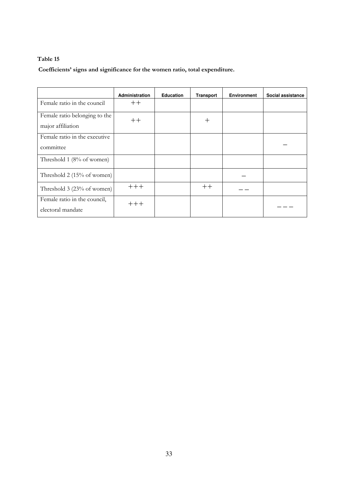**Coefficients' signs and significance for the women ratio, total expenditure.** 

|                               | <b>Administration</b> | <b>Education</b> | <b>Transport</b> | <b>Environment</b> | Social assistance |
|-------------------------------|-----------------------|------------------|------------------|--------------------|-------------------|
| Female ratio in the council   | $++$                  |                  |                  |                    |                   |
| Female ratio belonging to the | $++$                  |                  | $\pm$            |                    |                   |
| major affiliation             |                       |                  |                  |                    |                   |
| Female ratio in the executive |                       |                  |                  |                    |                   |
| committee                     |                       |                  |                  |                    |                   |
| Threshold 1 (8% of women)     |                       |                  |                  |                    |                   |
| Threshold 2 (15% of women)    |                       |                  |                  |                    |                   |
| Threshold 3 (23% of women)    | $++++$                |                  | $++$             |                    |                   |
| Female ratio in the council,  | $++++$                |                  |                  |                    |                   |
| electoral mandate             |                       |                  |                  |                    |                   |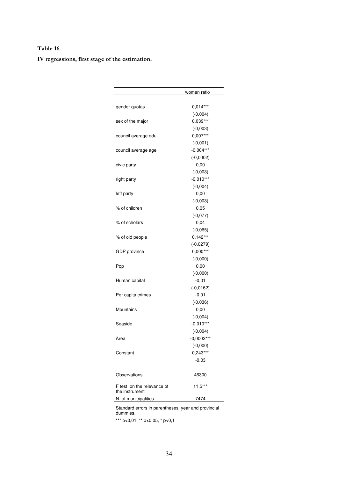**IV regressions, first stage of the estimation.** 

|                            | women ratio  |
|----------------------------|--------------|
|                            |              |
| gender quotas              | $0,014***$   |
|                            | $(-0,004)$   |
| sex of the major           | 0,039***     |
|                            | $(-0,003)$   |
| council average edu        | $0,007***$   |
|                            | $(-0,001)$   |
| council average age        | $-0,004***$  |
|                            | $(-0,0002)$  |
| civic party                | 0,00         |
|                            | $(-0,003)$   |
| right party                | $-0,010***$  |
|                            | $(-0,004)$   |
| left party                 | 0,00         |
|                            | $(-0,003)$   |
| % of children              | 0,05         |
|                            | $(-0,077)$   |
| % of scholars              | 0,04         |
|                            | $(-0,065)$   |
| % of old people            | $0,142***$   |
|                            | $(-0,0279)$  |
| GDP province               | $0,000***$   |
|                            | $(-0,000)$   |
| Pop                        | 0,00         |
|                            | $(-0,000)$   |
| Human capital              | $-0,01$      |
|                            | $(-0,0162)$  |
| Per capita crimes          | $-0,01$      |
|                            | $(-0,036)$   |
| Mountains                  | 0,00         |
|                            | $(-0,004)$   |
| Seaside                    | $-0,010***$  |
|                            | $(-0,004)$   |
| Area                       | $-0,0002***$ |
|                            | $(-0,000)$   |
| Constant                   | 0,243***     |
|                            | $-0.03$      |
| Observations               | 46300        |
| F test on the relevance of | $11,5***$    |
| the instrument             |              |
| N. of municipalities       | 7474         |

Standard errors in parentheses, year and provincial dummies.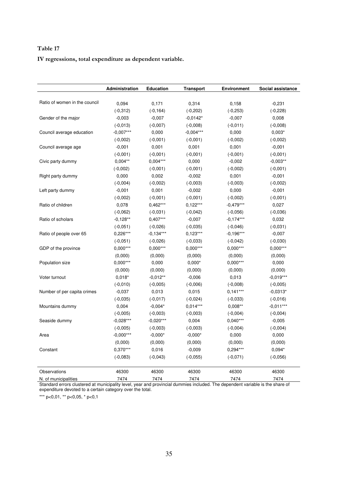**IV regressions, total expenditure as dependent variable.** 

|                               | Administration | <b>Education</b> | <b>Transport</b> | <b>Environment</b> | Social assistance |
|-------------------------------|----------------|------------------|------------------|--------------------|-------------------|
|                               |                |                  |                  |                    |                   |
| Ratio of women in the council | 0,094          | 0,171            | 0,314            | 0,158              | $-0,231$          |
|                               | $(-0, 312)$    | $(-0, 164)$      | $(-0, 202)$      | $(-0, 253)$        | $(-0, 228)$       |
| Gender of the major           | $-0,003$       | $-0,007$         | $-0,0142*$       | $-0,007$           | 0,008             |
|                               | $(-0,013)$     | $(-0,007)$       | $(-0,008)$       | $(-0,011)$         | $(-0,008)$        |
| Council average education     | $-0,007***$    | 0,000            | $-0,004***$      | 0,000              | $0,003*$          |
|                               | $(-0,002)$     | $(-0,001)$       | $(-0,001)$       | $(-0,002)$         | $(-0,002)$        |
| Council average age           | $-0,001$       | 0,001            | 0,001            | 0,001              | $-0,001$          |
|                               | $(-0,001)$     | $(-0,001)$       | $(-0,001)$       | $(-0,001)$         | $(-0,001)$        |
| Civic party dummy             | $0,004***$     | $0,004***$       | 0,000            | $-0,002$           | $-0,003**$        |
|                               | $(-0,002)$     | $(-0,001)$       | $(-0,001)$       | $(-0,002)$         | $(-0,001)$        |
| Right party dummy             | 0,000          | 0,002            | $-0,002$         | 0,001              | $-0,001$          |
|                               | $(-0,004)$     | $(-0,002)$       | $(-0,003)$       | $(-0,003)$         | $(-0,002)$        |
| Left party dummy              | $-0,001$       | 0,001            | $-0,002$         | 0,000              | $-0,001$          |
|                               | $(-0,002)$     | $(-0,001)$       | $(-0,001)$       | $(-0,002)$         | $(-0,001)$        |
| Ratio of children             | 0,078          | $0,462***$       | $0,122***$       | $-0,479***$        | 0,027             |
|                               | $(-0,062)$     | $(-0,031)$       | $(-0,042)$       | $(-0,056)$         | $(-0,036)$        |
| Ratio of scholars             | $-0,128**$     | $0,407***$       | $-0,007$         | $-0,174***$        | 0,032             |
|                               | $(-0,051)$     | $(-0,026)$       | $(-0,035)$       | $(-0,046)$         | $(-0,031)$        |
| Ratio of people over 65       | $0,226***$     | $-0,134***$      | $0,123***$       | $-0,196***$        | $-0,007$          |
|                               | $(-0,051)$     | $(-0,026)$       | $(-0,033)$       | $(-0,042)$         | $(-0,030)$        |
| GDP of the province           | $0,000***$     | $0,000***$       | $0,000***$       | $0,000***$         | $0,000***$        |
|                               | (0,000)        | (0,000)          | (0,000)          | (0,000)            | (0,000)           |
| Population size               | $0,000***$     | 0,000            | $0,000*$         | $0,000***$         | 0,000             |
|                               | (0,000)        | (0,000)          | (0,000)          | (0,000)            | (0,000)           |
| Voter turnout                 | $0,018*$       | $-0,012**$       | $-0,006$         | 0,013              | $-0,019***$       |
|                               | $(-0,010)$     | $(-0,005)$       | $(-0,006)$       | $(-0,008)$         | $(-0,005)$        |
| Number of per capita crimes   | $-0,037$       | 0,013            | 0,015            | $0,141***$         | $-0,0313*$        |
|                               | $(-0,035)$     | $(-0,017)$       | $(-0,024)$       | $(-0,033)$         | $(-0,016)$        |
| Mountains dummy               | 0,004          | $-0,004*$        | $0,014***$       | $0,008**$          | $-0,011***$       |
|                               | $(-0,005)$     | $(-0,003)$       | $(-0,003)$       | $(-0,004)$         | $(-0,004)$        |
| Seaside dummy                 | $-0,028***$    | $-0,020***$      | 0,004            | $0,040***$         | $-0,005$          |
|                               | $(-0,005)$     | $(-0,003)$       | $(-0,003)$       | $(-0,004)$         | $(-0,004)$        |
| Area                          | $-0,000***$    | $-0,000*$        | $-0,000*$        | 0,000              | 0,000             |
|                               | (0,000)        | (0,000)          | (0,000)          | (0,000)            | (0,000)           |
| Constant                      | $0,370***$     | 0,016            | $-0,009$         | $0,294***$         | $0,094*$          |
|                               | $(-0,083)$     | $(-0,043)$       | $(-0,055)$       | $(-0,071)$         | $(-0,056)$        |
|                               |                |                  |                  |                    |                   |
| Observations                  | 46300          | 46300            | 46300            | 46300              | 46300             |
| N. of municipalities          | 7474           | 7474             | 7474             | 7474               | 7474              |

Standard errors clustered at municipality level, year and provincial dummies included. The dependent variable is the share of expenditure devoted to a certain category over the total.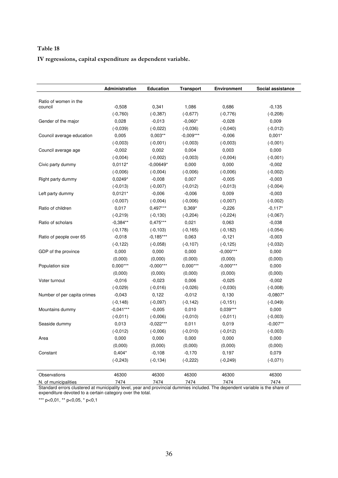**IV regressions, capital expenditure as dependent variable.** 

|                             | Administration | <b>Education</b> | <b>Transport</b> | <b>Environment</b> | Social assistance |
|-----------------------------|----------------|------------------|------------------|--------------------|-------------------|
| Ratio of women in the       |                |                  |                  |                    |                   |
| council                     | $-0,508$       | 0,341            | 1,086            | 0,686              | $-0,135$          |
|                             | $(-0,760)$     | $(-0, 387)$      | $(-0,677)$       | $(-0,776)$         | $(-0, 208)$       |
| Gender of the major         | 0,028          | $-0,013$         | $-0,060*$        | $-0,028$           | 0,009             |
|                             | $(-0,039)$     | $(-0,022)$       | $(-0,036)$       | $(-0,040)$         | $(-0,012)$        |
| Council average education   | 0,005          | $0,003**$        | $-0,009***$      | $-0,006$           | $0,001*$          |
|                             | $(-0,003)$     | $(-0,001)$       | $(-0,003)$       | $(-0,003)$         | $(-0,001)$        |
| Council average age         | $-0,002$       | 0,002            | 0,004            | 0,003              | 0,000             |
|                             | $(-0,004)$     | $(-0,002)$       | $(-0,003)$       | $(-0,004)$         | $(-0,001)$        |
| Civic party dummy           | $0,0112*$      | $-0,00649*$      | 0,000            | 0,000              | $-0,002$          |
|                             | $(-0,006)$     | $(-0,004)$       | $(-0,006)$       | $(-0,006)$         | $(-0,002)$        |
| Right party dummy           | $0,0249*$      | $-0,008$         | 0,007            | $-0,005$           | $-0,003$          |
|                             | $(-0,013)$     | $(-0,007)$       | $(-0, 012)$      | $(-0,013)$         | $(-0,004)$        |
| Left party dummy            | $0,0121*$      | $-0,006$         | $-0,006$         | 0,009              | $-0,003$          |
|                             | $(-0,007)$     | $(-0,004)$       | $(-0,006)$       | $(-0,007)$         | $(-0,002)$        |
| Ratio of children           | 0,017          | $0,497***$       | 0,369*           | $-0,226$           | $-0,117*$         |
|                             | $(-0, 219)$    | $(-0, 130)$      | $(-0, 204)$      | $(-0, 224)$        | $(-0,067)$        |
| Ratio of scholars           | $-0,384**$     | $0,475***$       | 0,021            | 0,063              | $-0,038$          |
|                             | $(-0, 178)$    | $(-0, 103)$      | $(-0, 165)$      | $(-0, 182)$        | $(-0,054)$        |
| Ratio of people over 65     | $-0,018$       | $-0,185***$      | 0,063            | $-0,121$           | $-0,003$          |
|                             | $(-0, 122)$    | $(-0,058)$       | $(-0, 107)$      | $(-0, 125)$        | $(-0,032)$        |
| GDP of the province         | 0,000          | 0,000            | 0,000            | $-0,000***$        | 0,000             |
|                             | (0,000)        | (0,000)          | (0,000)          | (0,000)            | (0,000)           |
| Population size             | $0,000***$     | $-0,000***$      | $0,000***$       | $-0,000***$        | 0,000             |
|                             | (0,000)        | (0,000)          | (0,000)          | (0,000)            | (0,000)           |
| Voter turnout               | $-0,016$       | $-0,023$         | 0,006            | $-0,025$           | $-0,002$          |
|                             | $(-0,029)$     | $(-0,016)$       | $(-0,026)$       | $(-0,030)$         | $(-0,008)$        |
| Number of per capita crimes | $-0,043$       | 0,122            | $-0,012$         | 0,130              | $-0,0807*$        |
|                             | $(-0, 148)$    | $(-0,097)$       | $(-0, 142)$      | $(-0, 151)$        | $(-0,049)$        |
| Mountains dummy             | $-0,041***$    | $-0,005$         | 0,010            | $0,039***$         | 0,000             |
|                             | $(-0,011)$     | $(-0,006)$       | $(-0,010)$       | $(-0,011)$         | $(-0,003)$        |
| Seaside dummy               | 0,013          | $-0,022***$      | 0,011            | 0,019              | $-0,007**$        |
|                             | $(-0,012)$     | $(-0,006)$       | $(-0,010)$       | $(-0,012)$         | $(-0,003)$        |
| Area                        | 0,000          | 0,000            | 0,000            | 0,000              | 0,000             |
|                             | (0,000)        | (0,000)          | (0,000)          | (0,000)            | (0,000)           |
| Constant                    | $0,404*$       | $-0,108$         | $-0,170$         | 0,197              | 0,079             |
|                             | $(-0, 243)$    | $(-0, 134)$      | $(-0, 222)$      | $(-0, 249)$        | $(-0,071)$        |
| Observations                | 46300          | 46300            | 46300            | 46300              | 46300             |
| N. of municipalities        | 7474           | 7474             | 7474             | 7474               | 7474              |

Standard errors clustered at municipality level, year and provincial dummies included. The dependent variable is the share of expenditure devoted to a certain category over the total.